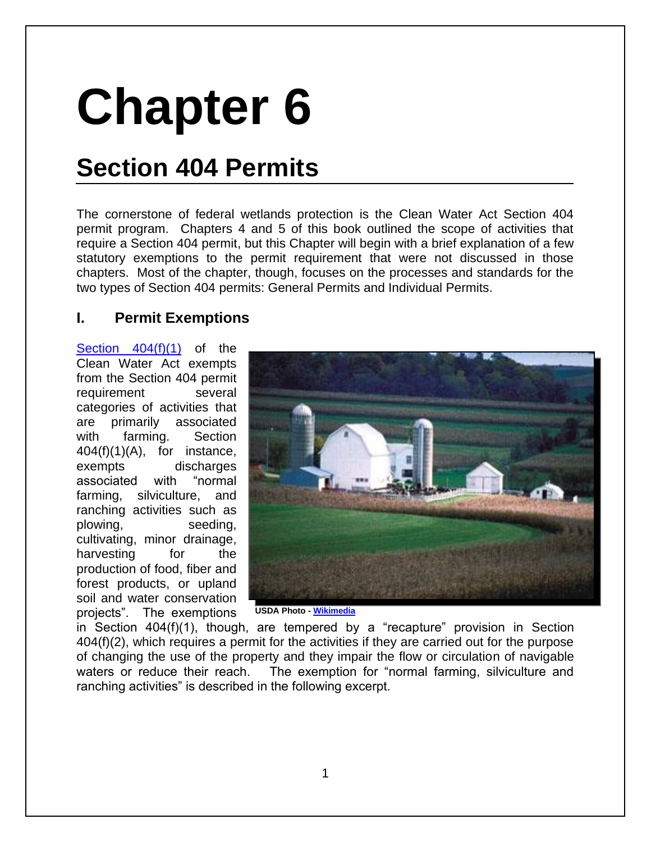# **Chapter 6**

# **Section 404 Permits**

The cornerstone of federal wetlands protection is the Clean Water Act Section 404 permit program. Chapters 4 and 5 of this book outlined the scope of activities that require a Section 404 permit, but this Chapter will begin with a brief explanation of a few statutory exemptions to the permit requirement that were not discussed in those chapters. Most of the chapter, though, focuses on the processes and standards for the two types of Section 404 permits: General Permits and Individual Permits.

# **I. Permit Exemptions**

[Section 404\(f\)\(1\)](http://www.law.cornell.edu/uscode/text/33/1344) of the Clean Water Act exempts from the Section 404 permit requirement several categories of activities that are primarily associated with farming. Section  $404(f)(1)(A)$ , for instance, exempts discharges associated with "normal farming, silviculture, and ranching activities such as plowing, seeding, cultivating, minor drainage, harvesting for the production of food, fiber and forest products, or upland soil and water conservation projects". The exemptions



**[USDA Photo -](http://www.law.cornell.edu/uscode/text/33/1344) [Wikimedia](http://commons.wikimedia.org/wiki/File:GreenCountyWI.jpg)**

in Section 404(f)(1), though, are tempered by a "recapture" provision in [Section](http://www.law.cornell.edu/uscode/text/33/1344)  [404\(f\)\(2\),](http://www.law.cornell.edu/uscode/text/33/1344) which requires a permit for the activities if they are carried out for the purpose of changing the use of the property and they impair the flow or circulation of navigable waters or reduce their reach. The exemption for "normal farming, silviculture and ranching activities" is described in the following excerpt.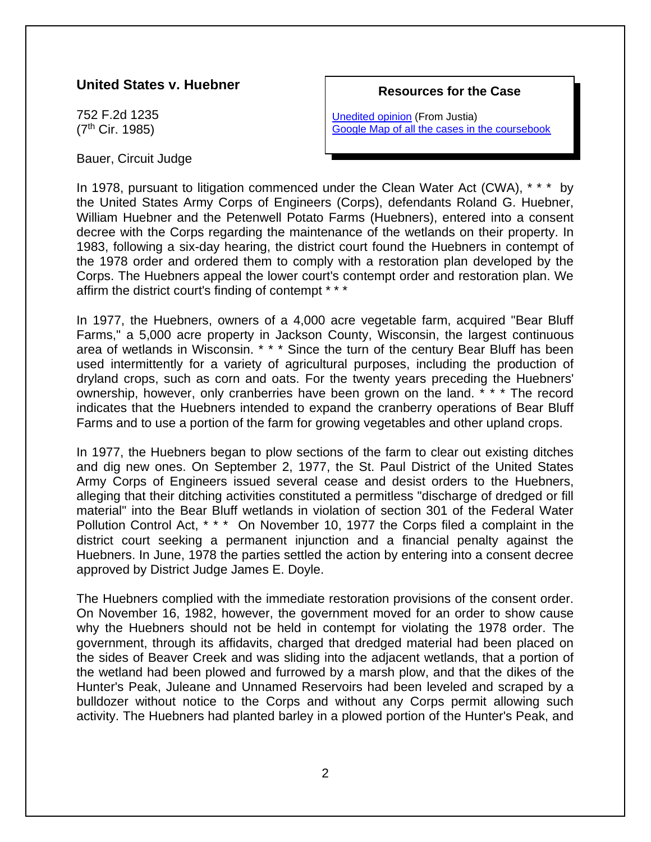#### **United States v. Huebner**

752 F.2d 1235 (7th Cir. 1985)

Bauer, Circuit Judge

#### **Resources for the Case**

[Unedited opinion](http://law.justia.com/cases/federal/appellate-courts/F2/752/1235/57720/#fnref1) (From Justia) [Google Map of all the cases in the coursebook](https://mapsengine.google.com/map/viewer?hl=en&authuser=0&mid=z7VLNS5X2EBs.k2lYjQFqDWiI)

In 1978, pursuant to litigation commenced under the Clean Water Act (CWA), \* \* \* by the United States Army Corps of Engineers (Corps), defendants Roland G. Huebner, William Huebner and the Petenwell Potato Farms (Huebners), entered into a consent decree with the Corps regarding the maintenance of the wetlands on their property. In 1983, following a six-day hearing, the district court found the Huebners in contempt of the 1978 order and ordered them to comply with a restoration plan developed by the Corps. The Huebners appeal the lower court's contempt order and restoration plan. We affirm the district court's finding of contempt \* \* \*

In 1977, the Huebners, owners of a 4,000 acre vegetable farm, acquired "Bear Bluff Farms," a 5,000 acre property in Jackson County, Wisconsin, the largest continuous area of wetlands in Wisconsin. \* \* \* Since the turn of the century Bear Bluff has been used intermittently for a variety of agricultural purposes, including the production of dryland crops, such as corn and oats. For the twenty years preceding the Huebners' ownership, however, only cranberries have been grown on the land. \* \* \* The record indicates that the Huebners intended to expand the cranberry operations of Bear Bluff Farms and to use a portion of the farm for growing vegetables and other upland crops.

In 1977, the Huebners began to plow sections of the farm to clear out existing ditches and dig new ones. On September 2, 1977, the St. Paul District of the United States Army Corps of Engineers issued several cease and desist orders to the Huebners, alleging that their ditching activities constituted a permitless "discharge of dredged or fill material" into the Bear Bluff wetlands in violation of section 301 of the Federal Water Pollution Control Act, \* \* \* On November 10, 1977 the Corps filed a complaint in the district court seeking a permanent injunction and a financial penalty against the Huebners. In June, 1978 the parties settled the action by entering into a consent decree approved by District Judge James E. Doyle.

The Huebners complied with the immediate restoration provisions of the consent order. On November 16, 1982, however, the government moved for an order to show cause why the Huebners should not be held in contempt for violating the 1978 order. The government, through its affidavits, charged that dredged material had been placed on the sides of Beaver Creek and was sliding into the adjacent wetlands, that a portion of the wetland had been plowed and furrowed by a marsh plow, and that the dikes of the Hunter's Peak, Juleane and Unnamed Reservoirs had been leveled and scraped by a bulldozer without notice to the Corps and without any Corps permit allowing such activity. The Huebners had planted barley in a plowed portion of the Hunter's Peak, and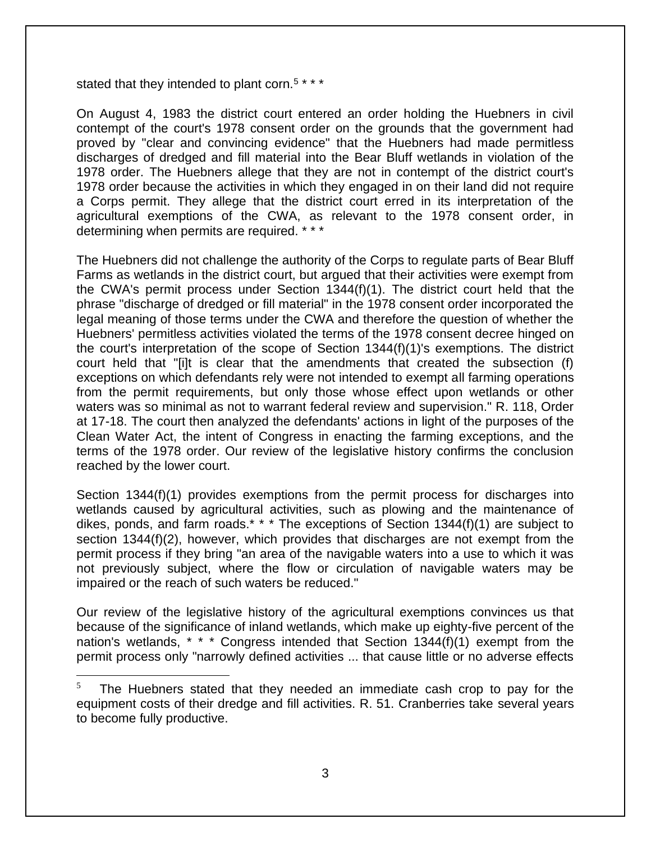stated that they intended to plant corn.<sup>5\*\*\*</sup>

On August 4, 1983 the district court entered an order holding the Huebners in civil contempt of the court's 1978 consent order on the grounds that the government had proved by "clear and convincing evidence" that the Huebners had made permitless discharges of dredged and fill material into the Bear Bluff wetlands in violation of the 1978 order. The Huebners allege that they are not in contempt of the district court's 1978 order because the activities in which they engaged in on their land did not require a Corps permit. They allege that the district court erred in its interpretation of the agricultural exemptions of the CWA, as relevant to the 1978 consent order, in determining when permits are required. \* \* \*

The Huebners did not challenge the authority of the Corps to regulate parts of Bear Bluff Farms as wetlands in the district court, but argued that their activities were exempt from the CWA's permit process under Section 1344(f)(1). The district court held that the phrase "discharge of dredged or fill material" in the 1978 consent order incorporated the legal meaning of those terms under the CWA and therefore the question of whether the Huebners' permitless activities violated the terms of the 1978 consent decree hinged on the court's interpretation of the scope of Section 1344(f)(1)'s exemptions. The district court held that "[i]t is clear that the amendments that created the subsection (f) exceptions on which defendants rely were not intended to exempt all farming operations from the permit requirements, but only those whose effect upon wetlands or other waters was so minimal as not to warrant federal review and supervision." R. 118, Order at 17-18. The court then analyzed the defendants' actions in light of the purposes of the Clean Water Act, the intent of Congress in enacting the farming exceptions, and the terms of the 1978 order. Our review of the legislative history confirms the conclusion reached by the lower court.

Section 1344(f)(1) provides exemptions from the permit process for discharges into wetlands caused by agricultural activities, such as plowing and the maintenance of dikes, ponds, and farm roads.\* \* \* The exceptions of Section  $1344(f)(1)$  are subject to section 1344(f)(2), however, which provides that discharges are not exempt from the permit process if they bring "an area of the navigable waters into a use to which it was not previously subject, where the flow or circulation of navigable waters may be impaired or the reach of such waters be reduced."

Our review of the legislative history of the agricultural exemptions convinces us that because of the significance of inland wetlands, which make up eighty-five percent of the nation's wetlands, \* \* \* Congress intended that Section 1344(f)(1) exempt from the permit process only "narrowly defined activities ... that cause little or no adverse effects

<sup>5</sup> The Huebners stated that they needed an immediate cash crop to pay for the equipment costs of their dredge and fill activities. R. 51. Cranberries take several years to become fully productive.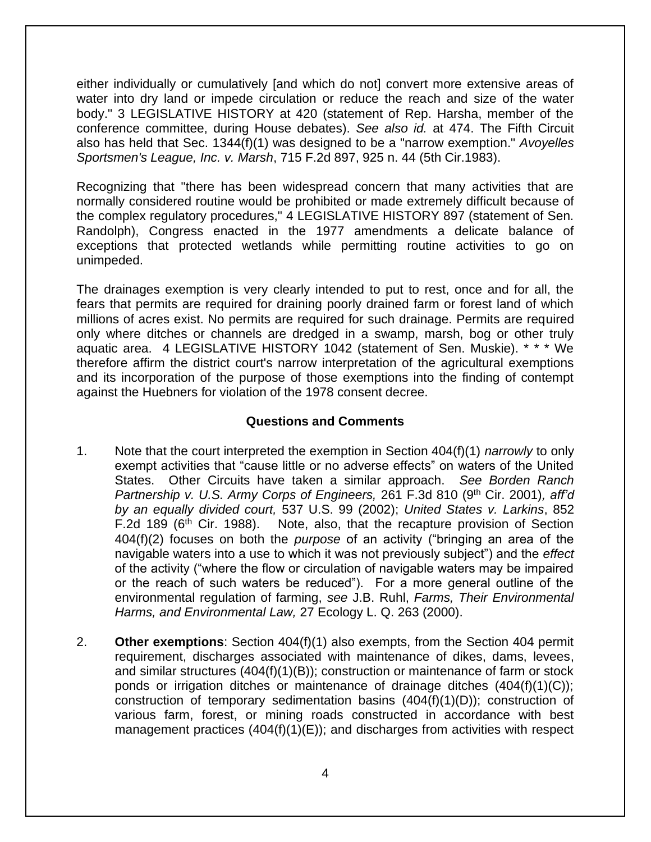either individually or cumulatively [and which do not] convert more extensive areas of water into dry land or impede circulation or reduce the reach and size of the water body." 3 LEGISLATIVE HISTORY at 420 (statement of Rep. Harsha, member of the conference committee, during House debates). *See also id.* at 474. The Fifth Circuit also has held that Sec. 1344(f)(1) was designed to be a "narrow exemption." *Avoyelles Sportsmen's League, Inc. v. Marsh*, 715 F.2d 897, 925 n. 44 (5th Cir.1983).

Recognizing that "there has been widespread concern that many activities that are normally considered routine would be prohibited or made extremely difficult because of the complex regulatory procedures," 4 LEGISLATIVE HISTORY 897 (statement of Sen. Randolph), Congress enacted in the 1977 amendments a delicate balance of exceptions that protected wetlands while permitting routine activities to go on unimpeded.

The drainages exemption is very clearly intended to put to rest, once and for all, the fears that permits are required for draining poorly drained farm or forest land of which millions of acres exist. No permits are required for such drainage. Permits are required only where ditches or channels are dredged in a swamp, marsh, bog or other truly aquatic area. 4 LEGISLATIVE HISTORY 1042 (statement of Sen. Muskie). \* \* \* We therefore affirm the district court's narrow interpretation of the agricultural exemptions and its incorporation of the purpose of those exemptions into the finding of contempt against the Huebners for violation of the 1978 consent decree.

#### **Questions and Comments**

- 1. Note that the court interpreted the exemption in Section 404(f)(1) *narrowly* to only exempt activities that "cause little or no adverse effects" on waters of the United States. Other Circuits have taken a similar approach. *See Borden Ranch Partnership v. U.S. Army Corps of Engineers,* 261 F.3d 810 (9<sup>th</sup> Cir. 2001), aff'd *by an equally divided court,* 537 U.S. 99 (2002); *United States v. Larkins*, 852 F.2d 189 ( $6<sup>th</sup>$  Cir. 1988). Note, also, that the recapture provision of Section 404(f)(2) focuses on both the *purpose* of an activity ("bringing an area of the navigable waters into a use to which it was not previously subject") and the *effect* of the activity ("where the flow or circulation of navigable waters may be impaired or the reach of such waters be reduced"). For a more general outline of the environmental regulation of farming, *see* J.B. Ruhl, *Farms, Their Environmental Harms, and Environmental Law,* 27 Ecology L. Q. 263 (2000).
- 2. **Other exemptions**: Section 404(f)(1) also exempts, from the Section 404 permit requirement, discharges associated with maintenance of dikes, dams, levees, and similar structures (404(f)(1)(B)); construction or maintenance of farm or stock ponds or irrigation ditches or maintenance of drainage ditches (404(f)(1)(C)); construction of temporary sedimentation basins  $(404(f)(1)(D))$ ; construction of various farm, forest, or mining roads constructed in accordance with best management practices  $(404(f)(1)(E))$ ; and discharges from activities with respect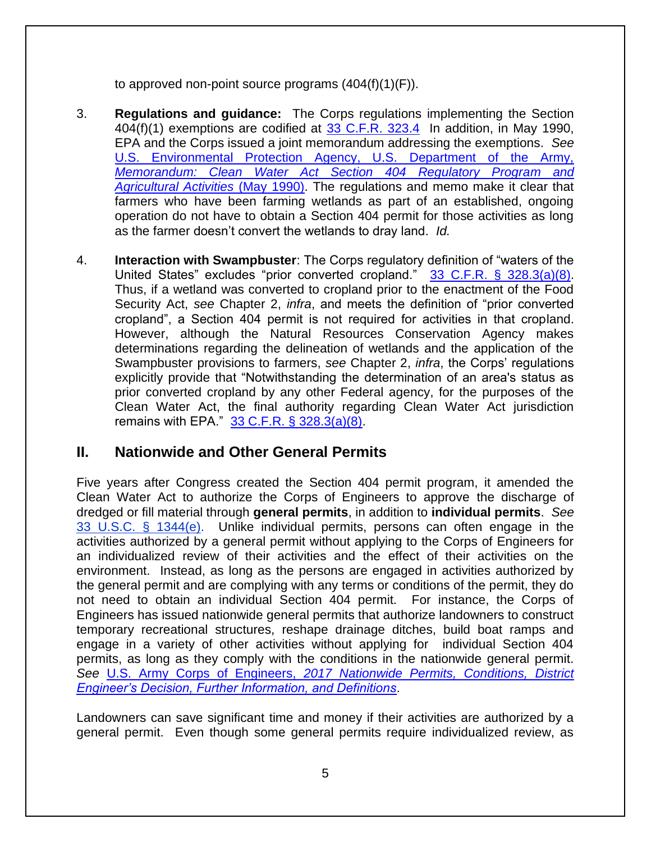to approved non-point source programs  $(404(f)(1)(F))$ .

- 3. **Regulations and guidance:** The Corps regulations implementing the Section 404(f)(1) exemptions are codified at [33 C.F.R. 323.4](http://www.law.cornell.edu/cfr/text/33/323.4) In addition, in May 1990, EPA and the Corps issued a joint memorandum addressing the exemptions. *See* [U.S. Environmental Protection Agency, U.S. Department of the Army,](https://www.epa.gov/cwa-404/memorandum-clean-water-act-section-404-regulatory-program-and-agricultural-activities)  *[Memorandum: Clean Water Act Section 404 Regulatory Program and](https://www.epa.gov/cwa-404/memorandum-clean-water-act-section-404-regulatory-program-and-agricultural-activities)  [Agricultural Activities](https://www.epa.gov/cwa-404/memorandum-clean-water-act-section-404-regulatory-program-and-agricultural-activities)* (May 1990). The regulations and memo make it clear that farmers who have been farming wetlands as part of an established, ongoing operation do not have to obtain a Section 404 permit for those activities as long as the farmer doesn't convert the wetlands to dray land. *Id.*
- 4. **Interaction with Swampbuster**: The Corps regulatory definition of "waters of the United States" excludes "prior converted cropland." [33 C.F.R. § 328.3\(a\)\(8\).](http://www.law.cornell.edu/cfr/text/33/328.3) Thus, if a wetland was converted to cropland prior to the enactment of the Food Security Act, *see* Chapter 2, *infra*, and meets the definition of "prior converted cropland", a Section 404 permit is not required for activities in that cropland. However, although the Natural Resources Conservation Agency makes determinations regarding the delineation of wetlands and the application of the Swampbuster provisions to farmers, *see* Chapter 2, *infra*, the Corps' regulations explicitly provide that "Notwithstanding the determination of an area's status as prior converted cropland by any other Federal agency, for the purposes of the Clean Water Act, the final authority regarding Clean Water Act jurisdiction remains with EPA." [33 C.F.R. § 328.3\(a\)\(8\).](http://www.law.cornell.edu/cfr/text/33/328.3)

# **II. Nationwide and Other General Permits**

Five years after Congress created the Section 404 permit program, it amended the Clean Water Act to authorize the Corps of Engineers to approve the discharge of dredged or fill material through **general permits**, in addition to **individual permits**. *See* [33 U.S.C. § 1344\(e\).](http://www.law.cornell.edu/uscode/text/33/1344) Unlike individual permits, persons can often engage in the activities authorized by a general permit without applying to the Corps of Engineers for an individualized review of their activities and the effect of their activities on the environment. Instead, as long as the persons are engaged in activities authorized by the general permit and are complying with any terms or conditions of the permit, they do not need to obtain an individual Section 404 permit. For instance, the Corps of Engineers has issued nationwide general permits that authorize landowners to construct temporary recreational structures, reshape drainage ditches, build boat ramps and engage in a variety of other activities without applying for individual Section 404 permits, as long as they comply with the conditions in the nationwide general permit. *See* U.S. Army Corps of Engineers, *2017 [Nationwide Permits, Conditions, District](https://usace.contentdm.oclc.org/utils/getfile/collection/p16021coll7/id/6712)  [Engineer's Decision, Further Information, and Definitions](https://usace.contentdm.oclc.org/utils/getfile/collection/p16021coll7/id/6712)*.

Landowners can save significant time and money if their activities are authorized by a general permit. Even though some general permits require individualized review, as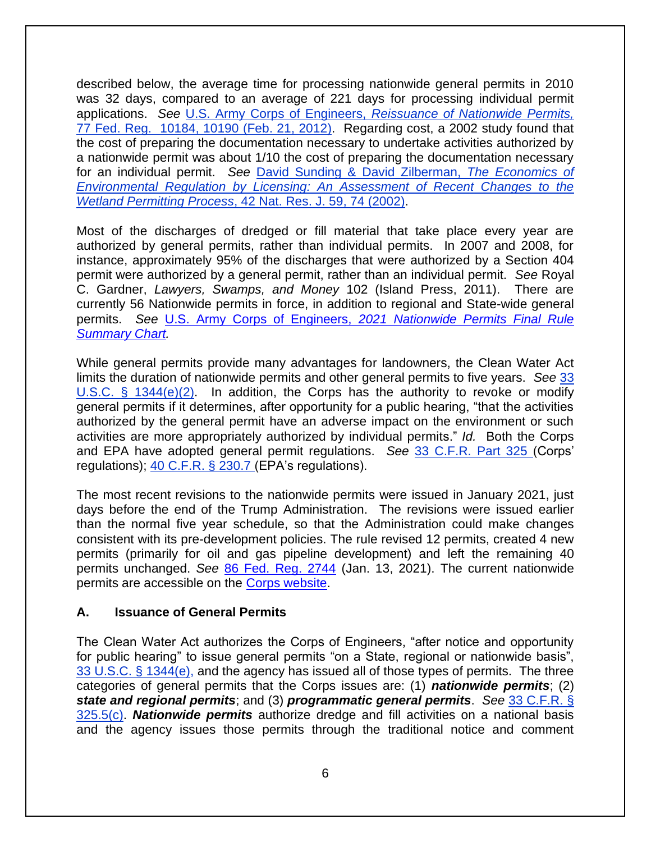described below, the average time for processing nationwide general permits in 2010 was 32 days, compared to an average of 221 days for processing individual permit applications. *See* U.S. Army Corps of Engineers, *[Reissuance of Nationwide Permits,](http://www.gpo.gov/fdsys/pkg/FR-2012-02-21/pdf/2012-3687.pdf)*  77 Fed. Reg. [10184, 10190 \(Feb. 21, 2012\).](http://www.gpo.gov/fdsys/pkg/FR-2012-02-21/pdf/2012-3687.pdf) Regarding cost, a 2002 study found that the cost of preparing the documentation necessary to undertake activities authorized by a nationwide permit was about 1/10 the cost of preparing the documentation necessary for an individual permit. *See* [David Sunding & David Zilberman,](http://areweb.berkeley.edu/~sunding/Economcs%20of%20Environmental%20Regulation.pdf) *The Economics of [Environmental Regulation by Licensing: An Assessment of Recent Changes to the](http://areweb.berkeley.edu/~sunding/Economcs%20of%20Environmental%20Regulation.pdf)  Wetland Permitting Process*[, 42 Nat. Res. J. 59, 74 \(2002\).](http://areweb.berkeley.edu/~sunding/Economcs%20of%20Environmental%20Regulation.pdf)

Most of the discharges of dredged or fill material that take place every year are authorized by general permits, rather than individual permits. In 2007 and 2008, for instance, approximately 95% of the discharges that were authorized by a Section 404 permit were authorized by a general permit, rather than an individual permit. *See* Royal C. Gardner, *Lawyers, Swamps, and Money* 102 (Island Press, 2011). There are currently 56 Nationwide permits in force, in addition to regional and State-wide general permits. *See* U.S. Army Corps of Engineers, *[2021 Nationwide Permits Final Rule](https://usace.contentdm.oclc.org/utils/getfile/collection/p16021coll7/id/16829)  [Summary Chart.](https://usace.contentdm.oclc.org/utils/getfile/collection/p16021coll7/id/16829)*

While general permits provide many advantages for landowners, the Clean Water Act limits the duration of nationwide permits and other general permits to five years. *See* [33](http://www.law.cornell.edu/uscode/text/33/1344)  [U.S.C. § 1344\(e\)\(2\).](http://www.law.cornell.edu/uscode/text/33/1344) In addition, the Corps has the authority to revoke or modify general permits if it determines, after opportunity for a public hearing, "that the activities authorized by the general permit have an adverse impact on the environment or such activities are more appropriately authorized by individual permits." *Id.* Both the Corps and EPA have adopted general permit regulations. *See* [33 C.F.R. Part 325 \(](http://www.law.cornell.edu/cfr/text/33/part-325)Corps' regulations); [40 C.F.R. § 230.7](http://www.law.cornell.edu/cfr/text/40/230.7) (EPA's regulations).

The most recent revisions to the nationwide permits were issued in January 2021, just days before the end of the Trump Administration. The revisions were issued earlier than the normal five year schedule, so that the Administration could make changes consistent with its pre-development policies. The rule revised 12 permits, created 4 new permits (primarily for oil and gas pipeline development) and left the remaining 40 permits unchanged. *See* [86 Fed. Reg. 2744](https://www.govinfo.gov/content/pkg/FR-2021-01-13/pdf/2021-00102.pdf) (Jan. 13, 2021). The current nationwide permits are accessible on the [Corps website.](https://www.usace.army.mil/Missions/Civil-Works/Regulatory-Program-and-Permits/Nationwide-Permits/)

#### **A. Issuance of General Permits**

The Clean Water Act authorizes the Corps of Engineers, "after notice and opportunity for public hearing" to issue general permits "on a State, regional or nationwide basis", [33 U.S.C. § 1344\(e\),](http://www.law.cornell.edu/uscode/text/33/1344) and the agency has issued all of those types of permits. The three categories of general permits that the Corps issues are: (1) *nationwide permits*; (2) *state and regional permits*; and (3) *programmatic general permits*. *See* [33 C.F.R. §](http://www.law.cornell.edu/cfr/text/33/325.5)  [325.5\(c\).](http://www.law.cornell.edu/cfr/text/33/325.5) *Nationwide permits* authorize dredge and fill activities on a national basis and the agency issues those permits through the traditional notice and comment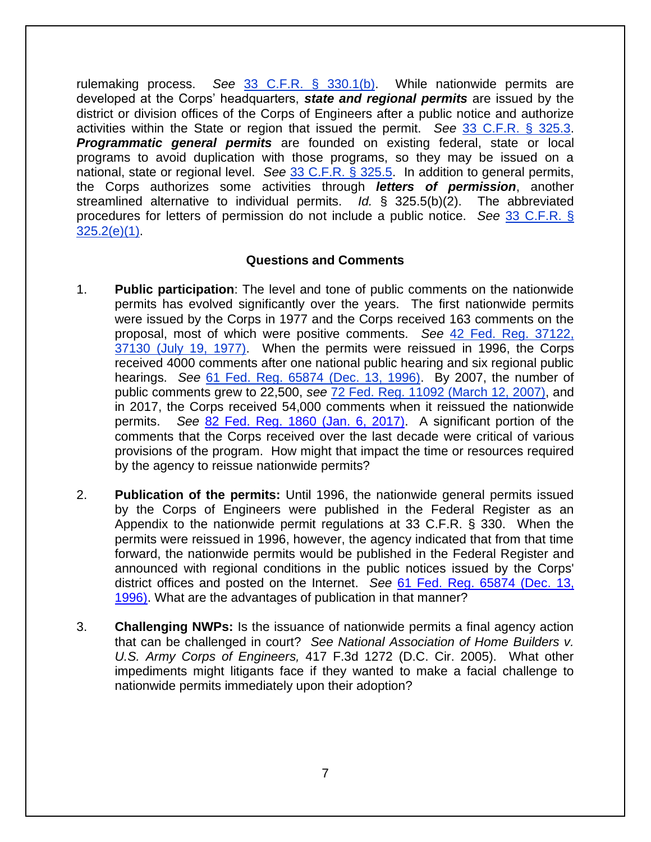rulemaking process. *See* [33 C.F.R. § 330.1\(b\).](http://www.law.cornell.edu/cfr/text/33/330.1) While nationwide permits are developed at the Corps' headquarters, *state and regional permits* are issued by the district or division offices of the Corps of Engineers after a public notice and authorize activities within the State or region that issued the permit. *See* [33 C.F.R. § 325.3.](http://www.law.cornell.edu/cfr/text/33/325.3) *Programmatic general permits* are founded on existing federal, state or local programs to avoid duplication with those programs, so they may be issued on a national, state or regional level. *See* [33 C.F.R. § 325.5.](http://www.law.cornell.edu/cfr/text/33/325.5) In addition to general permits, the Corps authorizes some activities through *letters of permission*, another streamlined alternative to individual permits. *Id.* § 325.5(b)(2). The abbreviated procedures for letters of permission do not include a public notice. *See* [33 C.F.R. §](http://www.law.cornell.edu/cfr/text/33/325.2#e_1)  [325.2\(e\)\(1\).](http://www.law.cornell.edu/cfr/text/33/325.2#e_1)

#### **Questions and Comments**

- 1. **Public participation**: The level and tone of public comments on the nationwide permits has evolved significantly over the years. The first nationwide permits were issued by the Corps in 1977 and the Corps received 163 comments on the proposal, most of which were positive comments. *See* [42 Fed. Reg. 37122,](http://www.envirolawteachers.com/42-fed-reg-37121.html)  [37130 \(July 19, 1977\).](http://www.envirolawteachers.com/42-fed-reg-37121.html) When the permits were reissued in 1996, the Corps received 4000 comments after one national public hearing and six regional public hearings. *See* [61 Fed. Reg. 65874 \(Dec. 13, 1996\).](https://www.federalregister.gov/documents/1996/12/13/96-31645/final-notice-of-issuance-reissuance-and-modification-of-nationwide-permits) By 2007, the number of public comments grew to 22,500, *see* [72 Fed. Reg. 11092 \(March 12, 2007\),](https://www.govinfo.gov/content/pkg/FR-2007-03-12/html/E7-3960.htm) and in 2017, the Corps received 54,000 comments when it reissued the nationwide permits. *See* [82 Fed. Reg. 1860 \(Jan. 6, 2017\).](https://www.gpo.gov/fdsys/pkg/FR-2017-01-06/pdf/2016-31355.pdf) A significant portion of the comments that the Corps received over the last decade were critical of various provisions of the program. How might that impact the time or resources required by the agency to reissue nationwide permits?
- 2. **Publication of the permits:** Until 1996, the nationwide general permits issued by the Corps of Engineers were published in the Federal Register as an Appendix to the nationwide permit regulations at 33 C.F.R. § 330. When the permits were reissued in 1996, however, the agency indicated that from that time forward, the nationwide permits would be published in the Federal Register and announced with regional conditions in the public notices issued by the Corps' district offices and posted on the Internet. *See* [61 Fed. Reg. 65874 \(Dec. 13,](https://www.gpo.gov/fdsys/granule/FR-1996-12-13/96-31645)  [1996\).](https://www.gpo.gov/fdsys/granule/FR-1996-12-13/96-31645) What are the advantages of publication in that manner?
- 3. **Challenging NWPs:** Is the issuance of nationwide permits a final agency action that can be challenged in court? *See National Association of Home Builders v. U.S. Army Corps of Engineers,* 417 F.3d 1272 (D.C. Cir. 2005). What other impediments might litigants face if they wanted to make a facial challenge to nationwide permits immediately upon their adoption?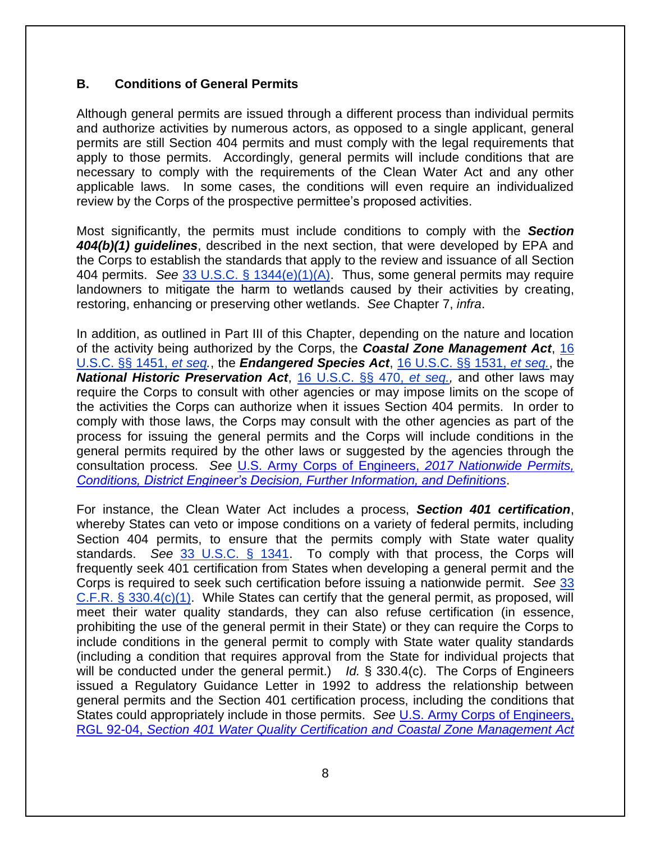#### **B. Conditions of General Permits**

Although general permits are issued through a different process than individual permits and authorize activities by numerous actors, as opposed to a single applicant, general permits are still Section 404 permits and must comply with the legal requirements that apply to those permits. Accordingly, general permits will include conditions that are necessary to comply with the requirements of the Clean Water Act and any other applicable laws. In some cases, the conditions will even require an individualized review by the Corps of the prospective permittee's proposed activities.

Most significantly, the permits must include conditions to comply with the *Section 404(b)(1) guidelines*, described in the next section, that were developed by EPA and the Corps to establish the standards that apply to the review and issuance of all Section 404 permits. *See* [33 U.S.C. § 1344\(e\)\(1\)\(A\).](http://www.law.cornell.edu/uscode/text/33/1344) Thus, some general permits may require landowners to mitigate the harm to wetlands caused by their activities by creating, restoring, enhancing or preserving other wetlands. *See* Chapter 7, *infra*.

In addition, as outlined in Part III of this Chapter, depending on the nature and location of the activity being authorized by the Corps, the *Coastal Zone Management Act*, [16](http://www.law.cornell.edu/uscode/text/16/chapter-33)  [U.S.C. §§ 1451,](http://www.law.cornell.edu/uscode/text/16/chapter-33) *et seq.*, the *Endangered Species Act*, [16 U.S.C. §§ 1531,](http://www.law.cornell.edu/uscode/text/16/chapter-35) *et seq.*, the *National Historic Preservation Act*, [16 U.S.C. §§ 470,](http://www.law.cornell.edu/uscode/text/16/chapter-1A/subchapter-II) *et seq.,* and other laws may require the Corps to consult with other agencies or may impose limits on the scope of the activities the Corps can authorize when it issues Section 404 permits. In order to comply with those laws, the Corps may consult with the other agencies as part of the process for issuing the general permits and the Corps will include conditions in the general permits required by the other laws or suggested by the agencies through the consultation process. *See* [U.S. Army Corps of Engineers,](https://usace.contentdm.oclc.org/utils/getfile/collection/p16021coll7/id/6712) *2017 Nationwide Permits, [Conditions, District Engineer's Decision, Further Information, and Definitions](https://usace.contentdm.oclc.org/utils/getfile/collection/p16021coll7/id/6712)*.

For instance, the Clean Water Act includes a process, *Section 401 certification*, whereby States can veto or impose conditions on a variety of federal permits, including Section 404 permits, to ensure that the permits comply with State water quality standards. *See* [33 U.S.C. § 1341.](http://www.law.cornell.edu/uscode/text/33/1341) To comply with that process, the Corps will frequently seek 401 certification from States when developing a general permit and the Corps is required to seek such certification before issuing a nationwide permit. *See* [33](http://www.law.cornell.edu/cfr/text/33/330.4)  [C.F.R. § 330.4\(c\)\(1\).](http://www.law.cornell.edu/cfr/text/33/330.4) While States can certify that the general permit, as proposed, will meet their water quality standards, they can also refuse certification (in essence, prohibiting the use of the general permit in their State) or they can require the Corps to include conditions in the general permit to comply with State water quality standards (including a condition that requires approval from the State for individual projects that will be conducted under the general permit.) *Id.* § 330.4(c). The Corps of Engineers issued a Regulatory Guidance Letter in 1992 to address the relationship between general permits and the Section 401 certification process, including the conditions that States could appropriately include in those permits. *See* [U.S. Army Corps](https://usace.contentdm.oclc.org/utils/getfile/collection/p16021coll9/id/1390) of Engineers, RGL 92-04, *[Section 401 Water Quality Certification and](https://usace.contentdm.oclc.org/utils/getfile/collection/p16021coll9/id/1390) Coastal Zone Management Act*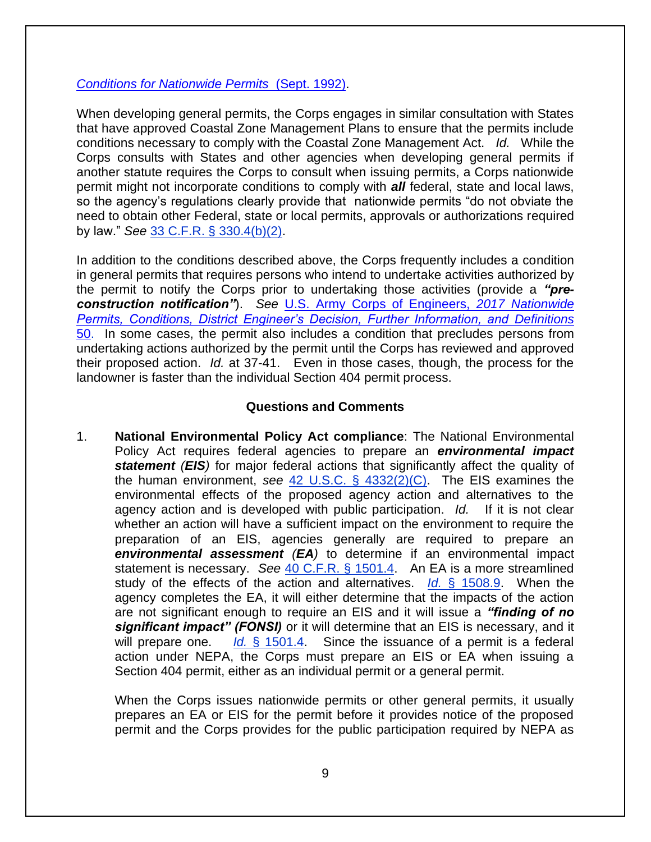#### *[Conditions for Nationwide Permits](https://usace.contentdm.oclc.org/utils/getfile/collection/p16021coll9/id/1390)* (Sept. 1992).

When developing general permits, the Corps engages in similar consultation with States that have approved Coastal Zone Management Plans to ensure that the permits include conditions necessary to comply with the Coastal Zone Management Act. *Id.* While the Corps consults with States and other agencies when developing general permits if another statute requires the Corps to consult when issuing permits, a Corps nationwide permit might not incorporate conditions to comply with *all* federal, state and local laws, so the agency's regulations clearly provide that nationwide permits "do not obviate the need to obtain other Federal, state or local permits, approvals or authorizations required by law." *See* [33 C.F.R. § 330.4\(b\)\(2\).](http://www.law.cornell.edu/cfr/text/33/330.4)

In addition to the conditions described above, the Corps frequently includes a condition in general permits that requires persons who intend to undertake activities authorized by the permit to notify the Corps prior to undertaking those activities (provide a *"preconstruction notification"*). *See* [U.S. Army Corps of Engineers,](https://usace.contentdm.oclc.org/utils/getfile/collection/p16021coll7/id/6712) *2017 Nationwide [Permits, Conditions, District Engineer's Decision, Further Information, and](https://usace.contentdm.oclc.org/utils/getfile/collection/p16021coll7/id/6712) Definitions*  [50.](https://usace.contentdm.oclc.org/utils/getfile/collection/p16021coll7/id/6712) In some cases, the permit also includes a condition that precludes persons from undertaking actions authorized by the permit until the Corps has reviewed and approved their proposed action. *Id.* at 37-41. Even in those cases, though, the process for the landowner is faster than the individual Section 404 permit process.

#### **Questions and Comments**

1. **National Environmental Policy Act compliance**: The National Environmental Policy Act requires federal agencies to prepare an *environmental impact*  **statement** (**EIS**) for major federal actions that significantly affect the quality of the human environment, *see* [42 U.S.C. § 4332\(2\)\(C\).](http://www.law.cornell.edu/uscode/text/42/4332) The EIS examines the environmental effects of the proposed agency action and alternatives to the agency action and is developed with public participation. *Id.* If it is not clear whether an action will have a sufficient impact on the environment to require the preparation of an EIS, agencies generally are required to prepare an *environmental assessment (EA)* to determine if an environmental impact statement is necessary. *See* [40 C.F.R. § 1501.4.](http://www.law.cornell.edu/cfr/text/40/1501.4) An EA is a more streamlined study of the effects of the action and alternatives. *Id.* [§ 1508.9.](http://www.law.cornell.edu/cfr/text/40/1508.9) When the agency completes the EA, it will either determine that the impacts of the action are not significant enough to require an EIS and it will issue a *"finding of no significant impact" (FONSI)* or it will determine that an EIS is necessary, and it will prepare one. *Id.* [§ 1501.4.](http://www.law.cornell.edu/cfr/text/40/1501.4) Since the issuance of a permit is a federal action under NEPA, the Corps must prepare an EIS or EA when issuing a Section 404 permit, either as an individual permit or a general permit.

When the Corps issues nationwide permits or other general permits, it usually prepares an EA or EIS for the permit before it provides notice of the proposed permit and the Corps provides for the public participation required by NEPA as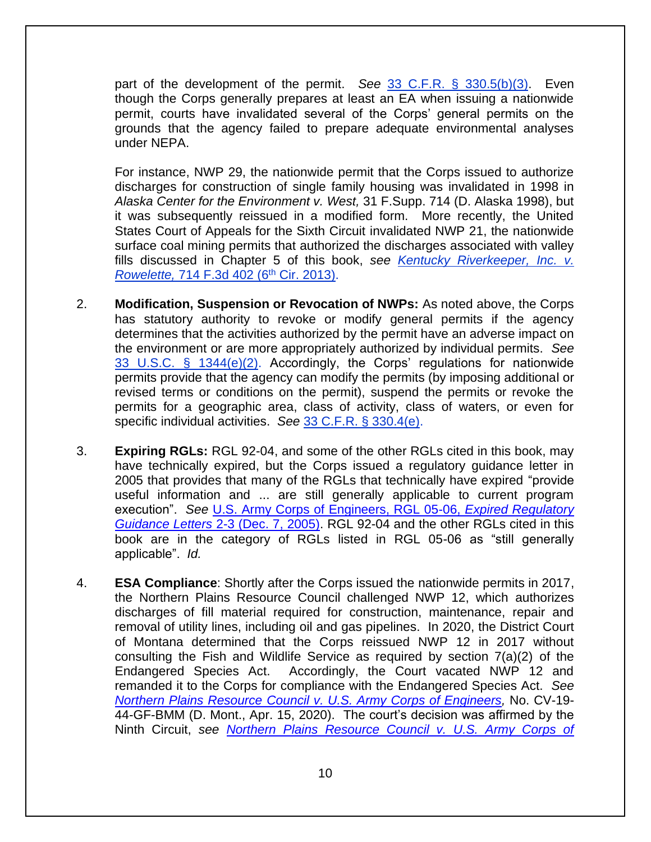part of the development of the permit. *See* [33 C.F.R. § 330.5\(b\)\(3\).](http://www.law.cornell.edu/cfr/text/33/330.5) Even though the Corps generally prepares at least an EA when issuing a nationwide permit, courts have invalidated several of the Corps' general permits on the grounds that the agency failed to prepare adequate environmental analyses under NEPA.

For instance, NWP 29, the nationwide permit that the Corps issued to authorize discharges for construction of single family housing was invalidated in 1998 in *Alaska Center for the Environment v. West,* 31 F.Supp. 714 (D. Alaska 1998), but it was subsequently reissued in a modified form. More recently, the United States Court of Appeals for the Sixth Circuit invalidated NWP 21, the nationwide surface coal mining permits that authorized the discharges associated with valley fills discussed in Chapter 5 of this book, *see [Kentucky Riverkeeper,](http://www.ca6.uscourts.gov/opinions.pdf/13a0115p-06.pdf) Inc. v. Rowelette, [714 F.3d 402 \(6](http://www.ca6.uscourts.gov/opinions.pdf/13a0115p-06.pdf)<sup>th</sup> Cir. 2013).* 

- 2. **Modification, Suspension or Revocation of NWPs:** As noted above, the Corps has statutory authority to revoke or modify general permits if the agency determines that the activities authorized by the permit have an adverse impact on the environment or are more appropriately authorized by individual permits. *See* [33 U.S.C. § 1344\(e\)\(2\).](http://www.law.cornell.edu/uscode/text/33/1344) Accordingly, the Corps' regulations for nationwide permits provide that the agency can modify the permits (by imposing additional or revised terms or conditions on the permit), suspend the permits or revoke the permits for a geographic area, class of activity, class of waters, or even for specific individual activities. *See* [33 C.F.R. § 330.4\(e\).](http://www.law.cornell.edu/cfr/text/33/330.4)
- 3. **Expiring RGLs:** RGL 92-04, and some of the other RGLs cited in this book, may have technically expired, but the Corps issued a regulatory guidance letter in 2005 that provides that many of the RGLs that technically have expired "provide useful information and ... are still generally applicable to current program execution". *See* [U.S. Army Corps of Engineers, RGL 05-06,](https://usace.contentdm.oclc.org/utils/getfile/collection/p16021coll9/id/1266) *Expired Regulatory Guidance Letters* [2-3 \(Dec. 7, 2005\).](https://usace.contentdm.oclc.org/utils/getfile/collection/p16021coll9/id/1266) RGL 92-04 and the other RGLs cited in this book are in the category of RGLs listed in RGL 05-06 as "still generally applicable". *Id.*
- 4. **ESA Compliance**: Shortly after the Corps issued the nationwide permits in 2017, the Northern Plains Resource Council challenged NWP 12, which authorizes discharges of fill material required for construction, maintenance, repair and removal of utility lines, including oil and gas pipelines. In 2020, the District Court of Montana determined that the Corps reissued NWP 12 in 2017 without consulting the Fish and Wildlife Service as required by section 7(a)(2) of the Endangered Species Act. Accordingly, the Court vacated NWP 12 and remanded it to the Corps for compliance with the Endangered Species Act. *See Northern Plains Resource [Council v. U.S. Army Corps of Engineers,](https://www.chamberlitigation.com/sites/default/files/cases/files/20202020/Order%20--%20Northern%20Plains%20Resource%20Council%20v.%20U.S.%20Army%20Corps%20of%20Engineers%20%28D.%20Mont.%29.pdf)* No. CV-19- 44-GF-BMM (D. Mont., Apr. 15, 2020). The court's decision was affirmed by the Ninth Circuit, *see [Northern Plains Resource Council v. U.S. Army Corps of](https://www.chamberlitigation.com/sites/default/files/cases/files/20202020/Order%20--%20Northern%20Plains%20Resource%20Council%20v.%20U.S.%20Army%20Corps%20of%20Engineers%20%28Ninth%20Circuit%29.pdf)*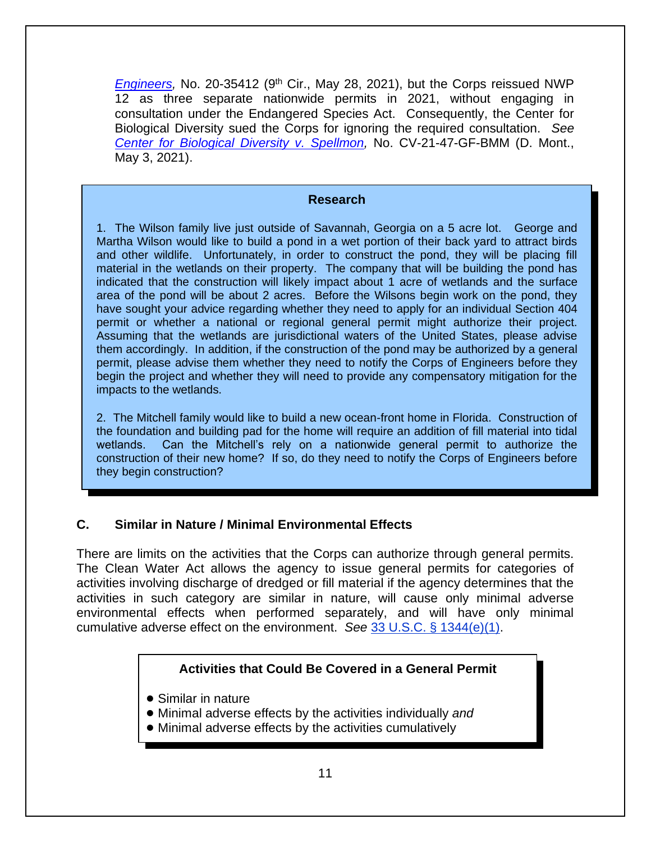[Engineers,](https://www.chamberlitigation.com/sites/default/files/cases/files/20202020/Order%20--%20Northern%20Plains%20Resource%20Council%20v.%20U.S.%20Army%20Corps%20of%20Engineers%20%28Ninth%20Circuit%29.pdf) No. 20-35412 (9<sup>th</sup> Cir., May 28, 2021), but the Corps reissued NWP 12 as three separate nationwide permits in 2021, without engaging in consultation under the Endangered Species Act. Consequently, the Center for Biological Diversity sued the Corps for ignoring the required consultation. *See [Center for Biological Diversity v. Spellmon,](https://s3-us-west-2.amazonaws.com/s3-wagtail.biolgicaldiversity.org/documents/NWP-Complaint-5-3-21.pdf)* No. CV-21-47-GF-BMM (D. Mont., May 3, 2021).

#### **Research**

1. The Wilson family live just outside of Savannah, Georgia on a 5 acre lot. George and Martha Wilson would like to build a pond in a wet portion of their back yard to attract birds and other wildlife. Unfortunately, in order to construct the pond, they will be placing fill material in the wetlands on their property. The company that will be building the pond has indicated that the construction will likely impact about 1 acre of wetlands and the surface area of the pond will be about 2 acres. Before the Wilsons begin work on the pond, they have sought your advice regarding whether they need to apply for an individual Section 404 permit or whether a national or regional general permit might authorize their project. Assuming that the wetlands are jurisdictional waters of the United States, please advise them accordingly. In addition, if the construction of the pond may be authorized by a general permit, please advise them whether they need to notify the Corps of Engineers before they begin the project and whether they will need to provide any compensatory mitigation for the impacts to the wetlands.

2. The Mitchell family would like to build a new ocean-front home in Florida. Construction of the foundation and building pad for the home will require an addition of fill material into tidal wetlands. Can the Mitchell's rely on a nationwide general permit to authorize the construction of their new home? If so, do they need to notify the Corps of Engineers before they begin construction?

#### **C. Similar in Nature / Minimal Environmental Effects**

There are limits on the activities that the Corps can authorize through general permits. The Clean Water Act allows the agency to issue general permits for categories of activities involving discharge of dredged or fill material if the agency determines that the activities in such category are similar in nature, will cause only minimal adverse environmental effects when performed separately, and will have only minimal cumulative adverse effect on the environment. *See* [33 U.S.C. § 1344\(e\)\(1\).](http://www.law.cornell.edu/uscode/text/33/1344)

#### **Activities that Could Be Covered in a General Permit**

- Similar in nature
- ! Minimal adverse effects by the activities individually *and*
- Minimal adverse effects by the activities cumulatively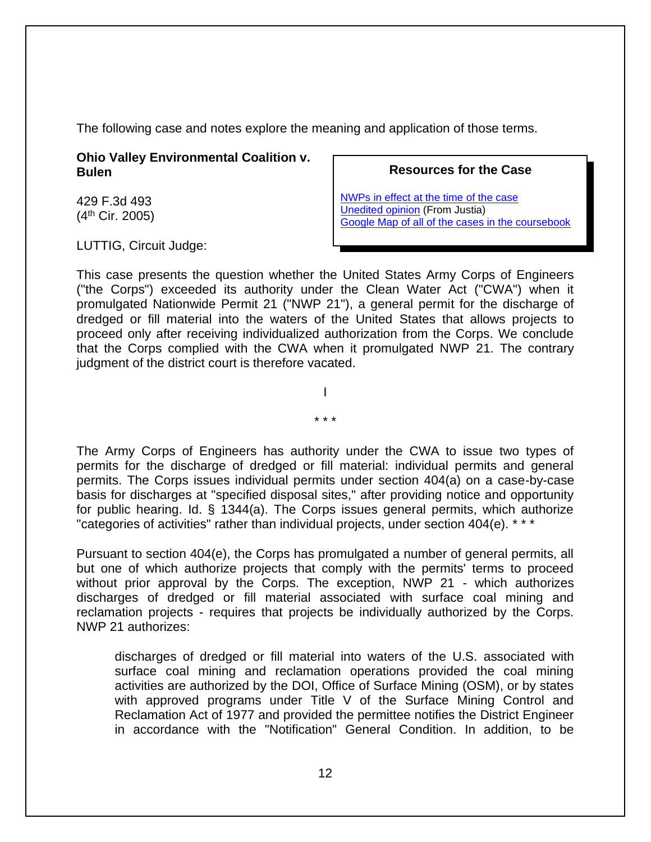The following case and notes explore the meaning and application of those terms.

**Ohio Valley Environmental Coalition v. Bulen**

429 F.3d 493 (4th Cir. 2005)

LUTTIG, Circuit Judge:

**Resources for the Case**

[NWPs in effect at the time of the case](http://www.gpo.gov/fdsys/pkg/FR-2002-01-15/pdf/02-539.pdf) [Unedited opinion](http://law.justia.com/cases/federal/appellate-courts/F3/429/493/494689/) (From Justia) [Google Map of all of the cases in the coursebook](https://mapsengine.google.com/map/viewer?hl=en&authuser=0&mid=z7VLNS5X2EBs.k2lYjQFqDWiI)

This case presents the question whether the United States Army Corps of Engineers ("the Corps") exceeded its authority under the Clean Water Act ("CWA") when it promulgated Nationwide Permit 21 ("NWP 21"), a general permit for the discharge of dredged or fill material into the waters of the United States that allows projects to proceed only after receiving individualized authorization from the Corps. We conclude that the Corps complied with the CWA when it promulgated NWP 21. The contrary judgment of the district court is therefore vacated.

\* \* \*

I

The Army Corps of Engineers has authority under the CWA to issue two types of permits for the discharge of dredged or fill material: individual permits and general permits. The Corps issues individual permits under section 404(a) on a case-by-case basis for discharges at "specified disposal sites," after providing notice and opportunity for public hearing. Id. § 1344(a). The Corps issues general permits, which authorize "categories of activities" rather than individual projects, under section 404(e). \* \* \*

Pursuant to section 404(e), the Corps has promulgated a number of general permits, all but one of which authorize projects that comply with the permits' terms to proceed without prior approval by the Corps. The exception, NWP 21 - which authorizes discharges of dredged or fill material associated with surface coal mining and reclamation projects - requires that projects be individually authorized by the Corps. NWP 21 authorizes:

discharges of dredged or fill material into waters of the U.S. associated with surface coal mining and reclamation operations provided the coal mining activities are authorized by the DOI, Office of Surface Mining (OSM), or by states with approved programs under Title V of the Surface Mining Control and Reclamation Act of 1977 and provided the permittee notifies the District Engineer in accordance with the "Notification" General Condition. In addition, to be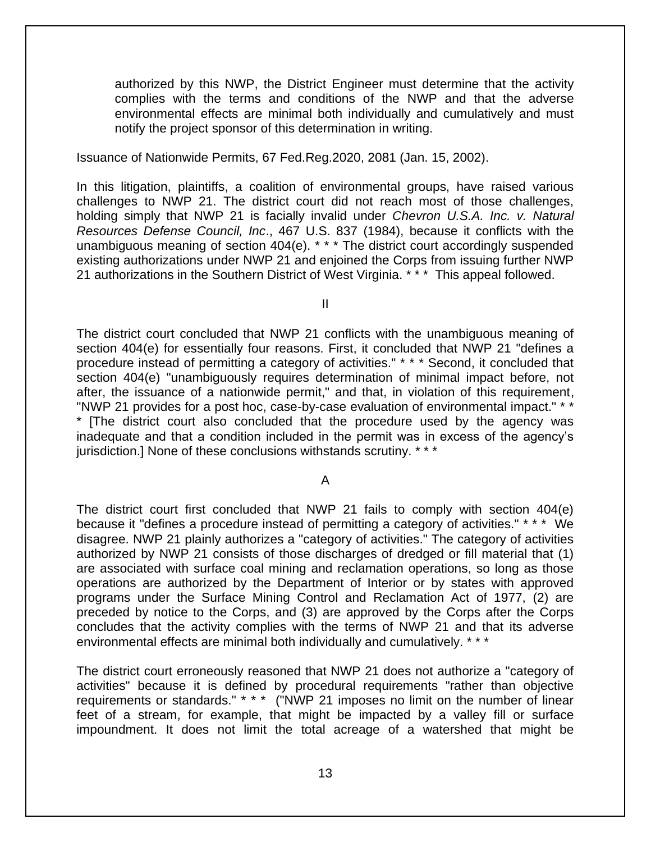authorized by this NWP, the District Engineer must determine that the activity complies with the terms and conditions of the NWP and that the adverse environmental effects are minimal both individually and cumulatively and must notify the project sponsor of this determination in writing.

Issuance of Nationwide Permits, 67 Fed.Reg.2020, 2081 (Jan. 15, 2002).

In this litigation, plaintiffs, a coalition of environmental groups, have raised various challenges to NWP 21. The district court did not reach most of those challenges, holding simply that NWP 21 is facially invalid under *Chevron U.S.A. Inc. v. Natural Resources Defense Council, Inc*., 467 U.S. 837 (1984), because it conflicts with the unambiguous meaning of section 404(e). \* \* \* The district court accordingly suspended existing authorizations under NWP 21 and enjoined the Corps from issuing further NWP 21 authorizations in the Southern District of West Virginia. \* \* \* This appeal followed.

II

The district court concluded that NWP 21 conflicts with the unambiguous meaning of section 404(e) for essentially four reasons. First, it concluded that NWP 21 "defines a procedure instead of permitting a category of activities." \* \* \* Second, it concluded that section 404(e) "unambiguously requires determination of minimal impact before, not after, the issuance of a nationwide permit," and that, in violation of this requirement, "NWP 21 provides for a post hoc, case-by-case evaluation of environmental impact." \* \* \* [The district court also concluded that the procedure used by the agency was inadequate and that a condition included in the permit was in excess of the agency's jurisdiction.] None of these conclusions withstands scrutiny. \*\*\*

A

The district court first concluded that NWP 21 fails to comply with section 404(e) because it "defines a procedure instead of permitting a category of activities." \* \* \* We disagree. NWP 21 plainly authorizes a "category of activities." The category of activities authorized by NWP 21 consists of those discharges of dredged or fill material that (1) are associated with surface coal mining and reclamation operations, so long as those operations are authorized by the Department of Interior or by states with approved programs under the Surface Mining Control and Reclamation Act of 1977, (2) are preceded by notice to the Corps, and (3) are approved by the Corps after the Corps concludes that the activity complies with the terms of NWP 21 and that its adverse environmental effects are minimal both individually and cumulatively. \* \* \*

The district court erroneously reasoned that NWP 21 does not authorize a "category of activities" because it is defined by procedural requirements "rather than objective requirements or standards." \* \* \* ("NWP 21 imposes no limit on the number of linear feet of a stream, for example, that might be impacted by a valley fill or surface impoundment. It does not limit the total acreage of a watershed that might be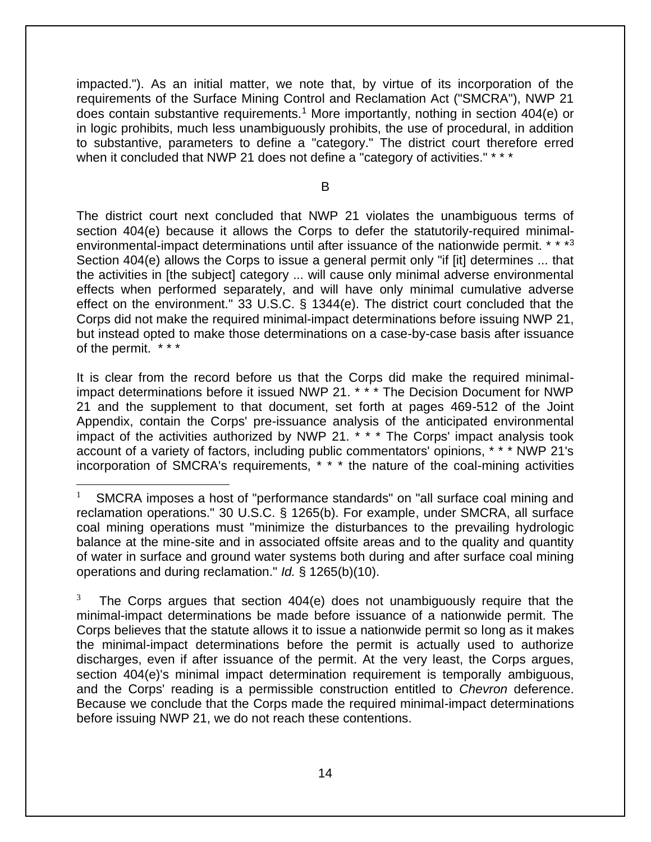impacted."). As an initial matter, we note that, by virtue of its incorporation of the requirements of the Surface Mining Control and Reclamation Act ("SMCRA"), NWP 21 does contain substantive requirements.<sup>1</sup> More importantly, nothing in section 404(e) or in logic prohibits, much less unambiguously prohibits, the use of procedural, in addition to substantive, parameters to define a "category." The district court therefore erred when it concluded that NWP 21 does not define a "category of activities." \* \* \*

B

The district court next concluded that NWP 21 violates the unambiguous terms of section 404(e) because it allows the Corps to defer the statutorily-required minimalenvironmental-impact determinations until after issuance of the nationwide permit. \* \* \* 3 Section 404(e) allows the Corps to issue a general permit only "if [it] determines ... that the activities in [the subject] category ... will cause only minimal adverse environmental effects when performed separately, and will have only minimal cumulative adverse effect on the environment." 33 U.S.C. § 1344(e). The district court concluded that the Corps did not make the required minimal-impact determinations before issuing NWP 21, but instead opted to make those determinations on a case-by-case basis after issuance of the permit. \* \* \*

It is clear from the record before us that the Corps did make the required minimalimpact determinations before it issued NWP 21. \* \* \* The Decision Document for NWP 21 and the supplement to that document, set forth at pages 469-512 of the Joint Appendix, contain the Corps' pre-issuance analysis of the anticipated environmental impact of the activities authorized by NWP 21. \* \* \* The Corps' impact analysis took account of a variety of factors, including public commentators' opinions, \* \* \* NWP 21's incorporation of SMCRA's requirements, \* \* \* the nature of the coal-mining activities

3 The Corps argues that section 404(e) does not unambiguously require that the minimal-impact determinations be made before issuance of a nationwide permit. The Corps believes that the statute allows it to issue a nationwide permit so long as it makes the minimal-impact determinations before the permit is actually used to authorize discharges, even if after issuance of the permit. At the very least, the Corps argues, section 404(e)'s minimal impact determination requirement is temporally ambiguous, and the Corps' reading is a permissible construction entitled to *Chevron* deference. Because we conclude that the Corps made the required minimal-impact determinations before issuing NWP 21, we do not reach these contentions.

<sup>1</sup> SMCRA imposes a host of "performance standards" on "all surface coal mining and reclamation operations." 30 U.S.C. § 1265(b). For example, under SMCRA, all surface coal mining operations must "minimize the disturbances to the prevailing hydrologic balance at the mine-site and in associated offsite areas and to the quality and quantity of water in surface and ground water systems both during and after surface coal mining operations and during reclamation." *Id.* § 1265(b)(10).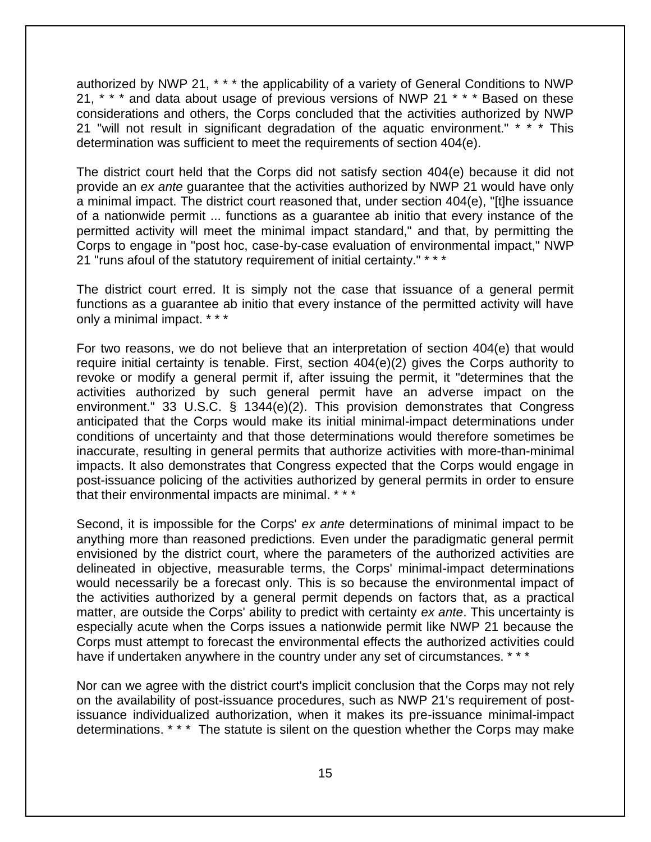authorized by NWP 21, \* \* \* the applicability of a variety of General Conditions to NWP 21, \* \* \* and data about usage of previous versions of NWP 21 \* \* \* Based on these considerations and others, the Corps concluded that the activities authorized by NWP 21 "will not result in significant degradation of the aquatic environment." \* \* \* This determination was sufficient to meet the requirements of section 404(e).

The district court held that the Corps did not satisfy section 404(e) because it did not provide an *ex ante* guarantee that the activities authorized by NWP 21 would have only a minimal impact. The district court reasoned that, under section 404(e), "[t]he issuance of a nationwide permit ... functions as a guarantee ab initio that every instance of the permitted activity will meet the minimal impact standard," and that, by permitting the Corps to engage in "post hoc, case-by-case evaluation of environmental impact," NWP 21 "runs afoul of the statutory requirement of initial certainty." \* \* \*

The district court erred. It is simply not the case that issuance of a general permit functions as a guarantee ab initio that every instance of the permitted activity will have only a minimal impact. \* \* \*

For two reasons, we do not believe that an interpretation of section 404(e) that would require initial certainty is tenable. First, section 404(e)(2) gives the Corps authority to revoke or modify a general permit if, after issuing the permit, it "determines that the activities authorized by such general permit have an adverse impact on the environment." 33 U.S.C. § 1344(e)(2). This provision demonstrates that Congress anticipated that the Corps would make its initial minimal-impact determinations under conditions of uncertainty and that those determinations would therefore sometimes be inaccurate, resulting in general permits that authorize activities with more-than-minimal impacts. It also demonstrates that Congress expected that the Corps would engage in post-issuance policing of the activities authorized by general permits in order to ensure that their environmental impacts are minimal. \* \* \*

Second, it is impossible for the Corps' *ex ante* determinations of minimal impact to be anything more than reasoned predictions. Even under the paradigmatic general permit envisioned by the district court, where the parameters of the authorized activities are delineated in objective, measurable terms, the Corps' minimal-impact determinations would necessarily be a forecast only. This is so because the environmental impact of the activities authorized by a general permit depends on factors that, as a practical matter, are outside the Corps' ability to predict with certainty *ex ante*. This uncertainty is especially acute when the Corps issues a nationwide permit like NWP 21 because the Corps must attempt to forecast the environmental effects the authorized activities could have if undertaken anywhere in the country under any set of circumstances. \* \* \*

Nor can we agree with the district court's implicit conclusion that the Corps may not rely on the availability of post-issuance procedures, such as NWP 21's requirement of postissuance individualized authorization, when it makes its pre-issuance minimal-impact determinations. \* \* \* The statute is silent on the question whether the Corps may make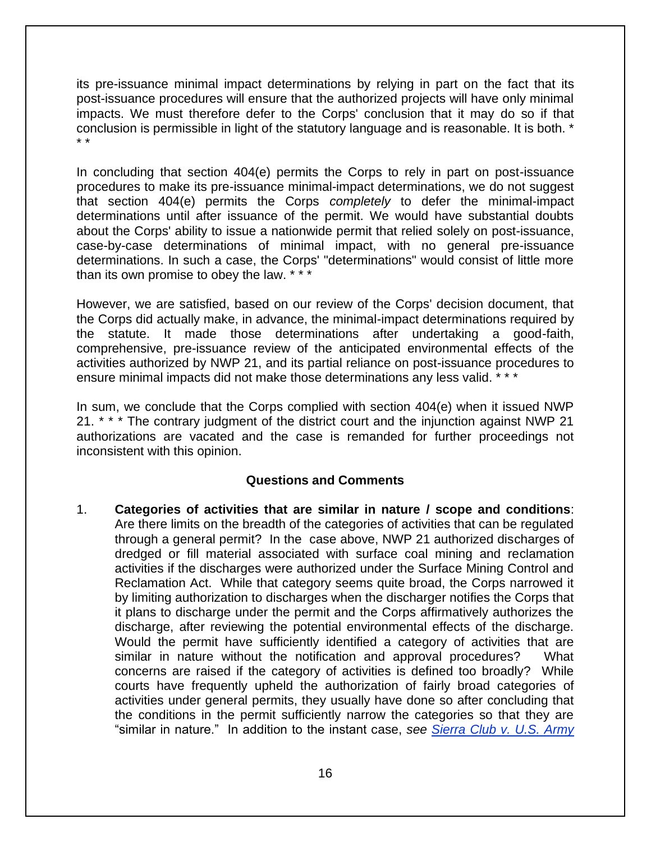its pre-issuance minimal impact determinations by relying in part on the fact that its post-issuance procedures will ensure that the authorized projects will have only minimal impacts. We must therefore defer to the Corps' conclusion that it may do so if that conclusion is permissible in light of the statutory language and is reasonable. It is both. \* \* \*

In concluding that section 404(e) permits the Corps to rely in part on post-issuance procedures to make its pre-issuance minimal-impact determinations, we do not suggest that section 404(e) permits the Corps *completely* to defer the minimal-impact determinations until after issuance of the permit. We would have substantial doubts about the Corps' ability to issue a nationwide permit that relied solely on post-issuance, case-by-case determinations of minimal impact, with no general pre-issuance determinations. In such a case, the Corps' "determinations" would consist of little more than its own promise to obey the law. \* \* \*

However, we are satisfied, based on our review of the Corps' decision document, that the Corps did actually make, in advance, the minimal-impact determinations required by the statute. It made those determinations after undertaking a good-faith, comprehensive, pre-issuance review of the anticipated environmental effects of the activities authorized by NWP 21, and its partial reliance on post-issuance procedures to ensure minimal impacts did not make those determinations any less valid. \* \* \*

In sum, we conclude that the Corps complied with section 404(e) when it issued NWP 21. \* \* \* The contrary judgment of the district court and the injunction against NWP 21 authorizations are vacated and the case is remanded for further proceedings not inconsistent with this opinion.

#### **Questions and Comments**

1. **Categories of activities that are similar in nature / scope and conditions**: Are there limits on the breadth of the categories of activities that can be regulated through a general permit? In the case above, NWP 21 authorized discharges of dredged or fill material associated with surface coal mining and reclamation activities if the discharges were authorized under the Surface Mining Control and Reclamation Act. While that category seems quite broad, the Corps narrowed it by limiting authorization to discharges when the discharger notifies the Corps that it plans to discharge under the permit and the Corps affirmatively authorizes the discharge, after reviewing the potential environmental effects of the discharge. Would the permit have sufficiently identified a category of activities that are similar in nature without the notification and approval procedures? What concerns are raised if the category of activities is defined too broadly? While courts have frequently upheld the authorization of fairly broad categories of activities under general permits, they usually have done so after concluding that the conditions in the permit sufficiently narrow the categories so that they are "similar in nature." In addition to the instant case, *see [Sierra Club v. U.S. Army](http://caselaw.findlaw.com/us-11th-circuit/1335047.html)*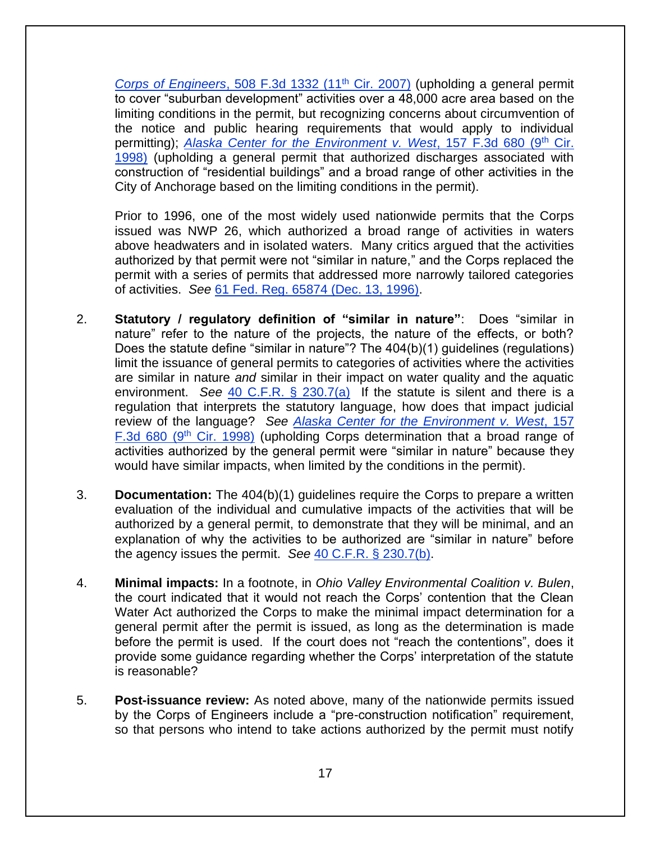*Corps of Engineers*[, 508 F.3d 1332 \(11](http://caselaw.findlaw.com/us-11th-circuit/1335047.html)th Cir. 2007) (upholding a general permit to cover "suburban development" activities over a 48,000 acre area based on the limiting conditions in the permit, but recognizing concerns about circumvention of the notice and public hearing requirements that would apply to individual permitting); *[Alaska Center for the Environment v. West](http://law.justia.com/cases/federal/appellate-courts/F3/157/680/578174/)*, 157 F.3d 680 (9<sup>th</sup> Cir. [1998\)](http://law.justia.com/cases/federal/appellate-courts/F3/157/680/578174/) (upholding a general permit that authorized discharges associated with construction of "residential buildings" and a broad range of other activities in the City of Anchorage based on the limiting conditions in the permit).

Prior to 1996, one of the most widely used nationwide permits that the Corps issued was NWP 26, which authorized a broad range of activities in waters above headwaters and in isolated waters. Many critics argued that the activities authorized by that permit were not "similar in nature," and the Corps replaced the permit with a series of permits that addressed more narrowly tailored categories of activities. *See* [61 Fed. Reg. 65874 \(Dec. 13, 1996\).](https://www.federalregister.gov/documents/1996/12/13/96-31645/final-notice-of-issuance-reissuance-and-modification-of-nationwide-permits)

- 2. **Statutory / regulatory definition of "similar in nature"**: Does "similar in nature" refer to the nature of the projects, the nature of the effects, or both? Does the statute define "similar in nature"? The 404(b)(1) guidelines (regulations) limit the issuance of general permits to categories of activities where the activities are similar in nature *and* similar in their impact on water quality and the aquatic environment. *See* [40 C.F.R. § 230.7\(a\)](http://www.law.cornell.edu/cfr/text/40/230.7) If the statute is silent and there is a regulation that interprets the statutory language, how does that impact judicial review of the language? *See [Alaska Center for the Environment v. West](http://law.justia.com/cases/federal/appellate-courts/F3/157/680/578174/)*, 157 [F.3d 680 \(9](http://law.justia.com/cases/federal/appellate-courts/F3/157/680/578174/)<sup>th</sup> Cir. 1998) (upholding Corps determination that a broad range of activities authorized by the general permit were "similar in nature" because they would have similar impacts, when limited by the conditions in the permit).
- 3. **Documentation:** The 404(b)(1) guidelines require the Corps to prepare a written evaluation of the individual and cumulative impacts of the activities that will be authorized by a general permit, to demonstrate that they will be minimal, and an explanation of why the activities to be authorized are "similar in nature" before the agency issues the permit. *See* [40 C.F.R. § 230.7\(b\).](http://www.law.cornell.edu/cfr/text/40/230.7)
- 4. **Minimal impacts:** In a footnote, in *Ohio Valley Environmental Coalition v. Bulen*, the court indicated that it would not reach the Corps' contention that the Clean Water Act authorized the Corps to make the minimal impact determination for a general permit after the permit is issued, as long as the determination is made before the permit is used. If the court does not "reach the contentions", does it provide some guidance regarding whether the Corps' interpretation of the statute is reasonable?
- 5. **Post-issuance review:** As noted above, many of the nationwide permits issued by the Corps of Engineers include a "pre-construction notification" requirement, so that persons who intend to take actions authorized by the permit must notify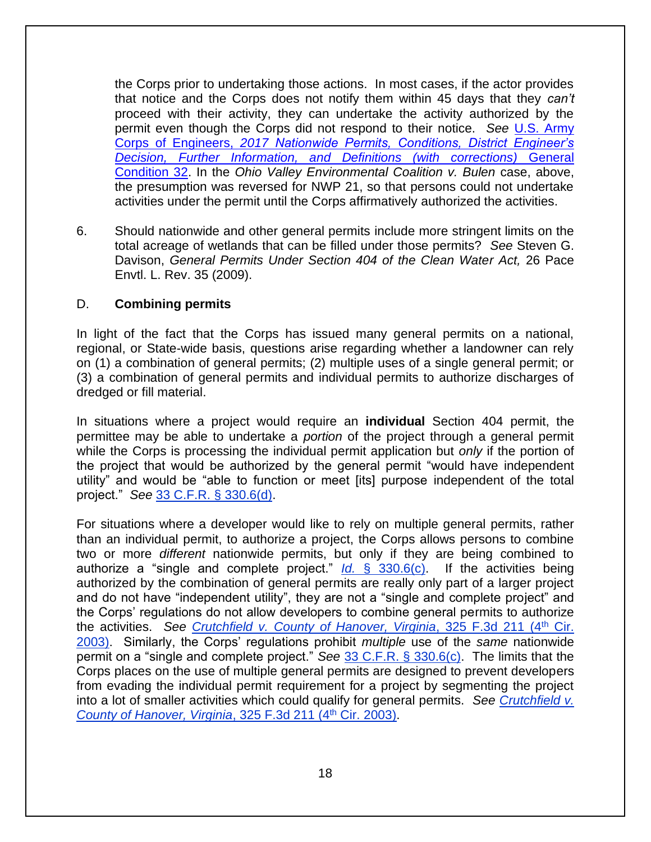the Corps prior to undertaking those actions. In most cases, if the actor provides that notice and the Corps does not notify them within 45 days that they *can't* proceed with their activity, they can undertake the activity authorized by the permit even though the Corps did not respond to their notice. *See* [U.S. Army](https://usace.contentdm.oclc.org/utils/getfile/collection/p16021coll7/id/6712)  Corps of Engineers, *2017 [Nationwide Permits, Conditions, District Engineer's](https://usace.contentdm.oclc.org/utils/getfile/collection/p16021coll7/id/6712)*  **[Decision, Further Information, and Definitions \(with corrections\)](https://usace.contentdm.oclc.org/utils/getfile/collection/p16021coll7/id/6712) General** [Condition 32.](https://usace.contentdm.oclc.org/utils/getfile/collection/p16021coll7/id/6712) In the *Ohio Valley Environmental Coalition v. Bulen* case, above, the presumption was reversed for NWP 21, so that persons could not undertake activities under the permit until the Corps affirmatively authorized the activities.

6. Should nationwide and other general permits include more stringent limits on the total acreage of wetlands that can be filled under those permits? *See* Steven G. Davison, *General Permits Under Section 404 of the Clean Water Act,* 26 Pace Envtl. L. Rev. 35 (2009).

#### D. **Combining permits**

In light of the fact that the Corps has issued many general permits on a national, regional, or State-wide basis, questions arise regarding whether a landowner can rely on (1) a combination of general permits; (2) multiple uses of a single general permit; or (3) a combination of general permits and individual permits to authorize discharges of dredged or fill material.

In situations where a project would require an **individual** Section 404 permit, the permittee may be able to undertake a *portion* of the project through a general permit while the Corps is processing the individual permit application but *only* if the portion of the project that would be authorized by the general permit "would have independent utility" and would be "able to function or meet [its] purpose independent of the total project." *See* [33 C.F.R. § 330.6\(d\).](http://www.law.cornell.edu/cfr/text/33/330.6)

For situations where a developer would like to rely on multiple general permits, rather than an individual permit, to authorize a project, the Corps allows persons to combine two or more *different* nationwide permits, but only if they are being combined to authorize a "single and complete project." *Id.* [§ 330.6\(c\).](http://www.law.cornell.edu/cfr/text/33/330.6) If the activities being authorized by the combination of general permits are really only part of a larger project and do not have "independent utility", they are not a "single and complete project" and the Corps' regulations do not allow developers to combine general permits to authorize the activities. *See [Crutchfield v. County of Hanover, Virginia](http://law.justia.com/cases/federal/appellate-courts/F3/325/211/478532/)*, 325 F.3d 211 (4th Cir. [2003\).](http://law.justia.com/cases/federal/appellate-courts/F3/325/211/478532/) Similarly, the Corps' regulations prohibit *multiple* use of the *same* nationwide permit on a "single and complete project." *See* [33 C.F.R. § 330.6\(c\).](http://www.law.cornell.edu/cfr/text/33/330.6) The limits that the Corps places on the use of multiple general permits are designed to prevent developers from evading the individual permit requirement for a project by segmenting the project into a lot of smaller activities which could qualify for general permits. *See [Crutchfield v.](http://law.justia.com/cases/federal/appellate-courts/F3/325/211/478532/)  [County of Hanover, Virginia](http://law.justia.com/cases/federal/appellate-courts/F3/325/211/478532/), 325 F.3d 211 (4<sup>th</sup> Cir. 2003).*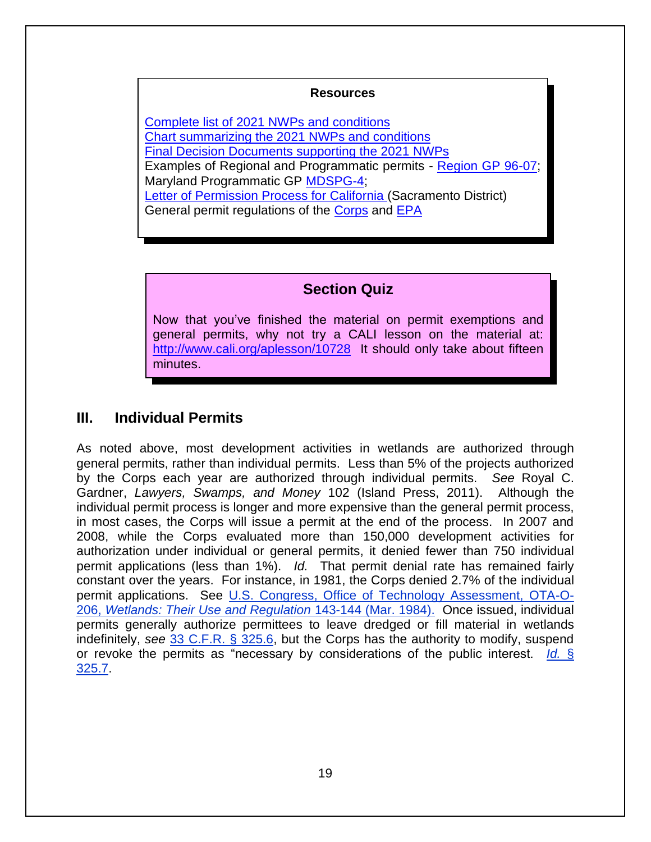#### **Resources**

Complete list of 2021 [NWPs and conditions](https://www.federalregister.gov/documents/2021/01/13/2021-00102/reissuance-and-modification-of-nationwide-permits) [Chart summarizing the 2021](https://usace.contentdm.oclc.org/utils/getfile/collection/p16021coll7/id/16829) NWPs and conditions [Final Decision Documents supporting the 2021](https://www.usace.army.mil/Missions/Civil-Works/Regulatory-Program-and-Permits/Nationwide-Permits/) NWPs Examples of Regional and Programmatic permits - [Region GP 96-07;](http://www.spk.usace.army.mil/Portals/12/documents/regulatory/gp/gp96-07.2011-reissue.permit.pdf) Maryland Programmatic GP [MDSPG-4;](http://www.nab.usace.army.mil/Portals/63/docs/Regulatory/Permits/MDSPGP-4.pdf) [Letter of Permission Process for California \(](http://www.spk.usace.army.mil/Portals/12/documents/regulatory/pdf/LOP-procedures9-16-2013FINAL(rev).pdf)Sacramento District) General permit regulations of the [Corps](http://www.law.cornell.edu/cfr/text/33/part-325) and [EPA](http://www.law.cornell.edu/cfr/text/40/230.7)

# **Section Quiz**

Now that you've finished the material on permit exemptions and general permits, why not try a CALI lesson on the material at: <http://www.cali.org/aplesson/10728>It should only take about fifteen minutes.

# **III. Individual Permits**

As noted above, most development activities in wetlands are authorized through general permits, rather than individual permits. Less than 5% of the projects authorized by the Corps each year are authorized through individual permits. *See* Royal C. Gardner, *Lawyers, Swamps, and Money* 102 (Island Press, 2011). Although the individual permit process is longer and more expensive than the general permit process, in most cases, the Corps will issue a permit at the end of the process. In 2007 and 2008, while the Corps evaluated more than 150,000 development activities for authorization under individual or general permits, it denied fewer than 750 individual permit applications (less than 1%). *Id.* That permit denial rate has remained fairly constant over the years. For instance, in 1981, the Corps denied 2.7% of the individual permit applications. See [U.S. Congress, Office of Technology Assessment, OTA-O-](http://govinfo.library.unt.edu/ota/Ota_4/DATA/1984/8433.PDF)206, *[Wetlands: Their Use and Regulation](http://govinfo.library.unt.edu/ota/Ota_4/DATA/1984/8433.PDF)* 143-144 (Mar. 1984). Once issued, individual permits generally authorize permittees to leave dredged or fill material in wetlands indefinitely, *see* [33 C.F.R. § 325.6,](http://www.law.cornell.edu/cfr/text/33/325.6) but the Corps has the authority to modify, suspend or revoke the permits as "necessary by considerations of the public interest. *[Id.](http://www.law.cornell.edu/cfr/text/33/325.7)* § [325.7.](http://www.law.cornell.edu/cfr/text/33/325.7)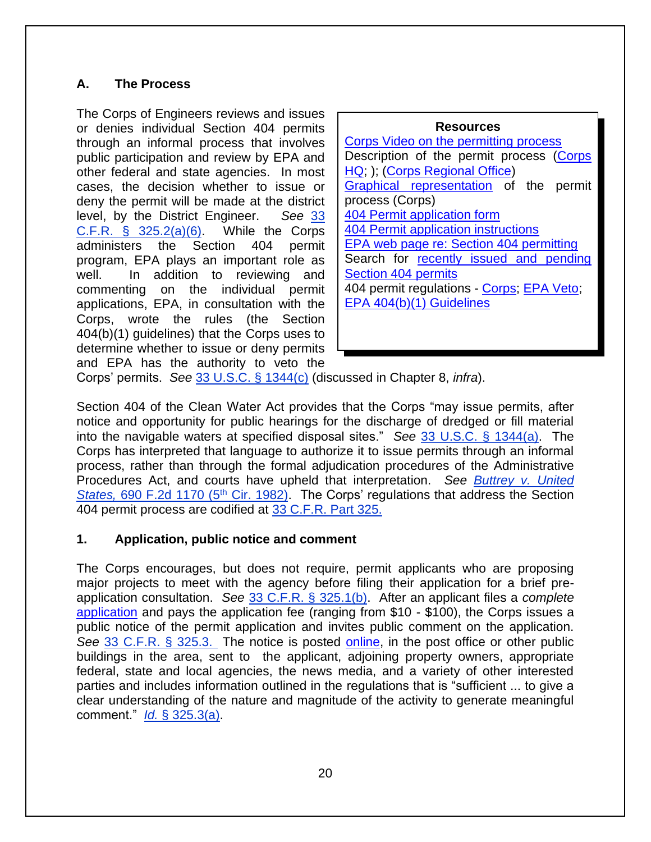# **A. The Process**

The Corps of Engineers reviews and issues or denies individual Section 404 permits through an informal process that involves public participation and review by EPA and other federal and state agencies. In most cases, the decision whether to issue or deny the permit will be made at the district level, by the District Engineer. *See* [33](http://www.law.cornell.edu/cfr/text/33/325.2)  C.F.R.  $\S$  325.2(a)(6). While the Corps administers the Section 404 permit program, EPA plays an important role as well. In addition to reviewing and commenting on the individual permit applications, EPA, in consultation with the Corps, wrote the rules (the Section 404(b)(1) guidelines) that the Corps uses to determine whether to issue or deny permits and EPA has the authority to veto the

| <b>Resources</b>                           |  |  |  |
|--------------------------------------------|--|--|--|
| Corps Video on the permitting process      |  |  |  |
| Description of the permit process (Corps   |  |  |  |
| HQ; ); (Corps Regional Office)             |  |  |  |
| Graphical representation of the permit     |  |  |  |
| process (Corps)                            |  |  |  |
| 404 Permit application form                |  |  |  |
| <b>404 Permit application instructions</b> |  |  |  |
| EPA web page re: Section 404 permitting    |  |  |  |
| Search for recently issued and pending     |  |  |  |
| <b>Section 404 permits</b>                 |  |  |  |
| 404 permit regulations - Corps; EPA Veto;  |  |  |  |
| EPA 404(b)(1) Guidelines                   |  |  |  |
|                                            |  |  |  |

Corps' permits. *See* [33 U.S.C.](http://www.law.cornell.edu/uscode/text/33/1344) § 1344(c) (discussed in Chapter 8, *infra*).

Section 404 of the Clean Water Act provides that the Corps "may issue permits, after notice and opportunity for public hearings for the discharge of dredged or fill material into the navigable waters at specified disposal sites." *See* [33 U.S.C. § 1344\(a\).](http://www.law.cornell.edu/uscode/text/33/1344) The Corps has interpreted that language to authorize it to issue permits through an informal process, rather than through the formal adjudication procedures of the Administrative Procedures Act, and courts have upheld that interpretation. *See [Buttrey v. United](http://law.justia.com/cases/federal/appellate-courts/F2/690/1170/107678/)  States, [690 F.2d 1170 \(5](http://law.justia.com/cases/federal/appellate-courts/F2/690/1170/107678/)<sup>th</sup> Cir. 1982).* The Corps' regulations that address the Section 404 permit process are codified at [33 C.F.R. Part 325.](http://www.law.cornell.edu/cfr/text/33/part-325)

#### **1. Application, public notice and comment**

The Corps encourages, but does not require, permit applicants who are proposing major projects to meet with the agency before filing their application for a brief preapplication consultation. *See* [33 C.F.R. § 325.1\(b\).](http://www.law.cornell.edu/cfr/text/33/325.1) After an applicant files a *complete* [application](https://www.publications.usace.army.mil/Portals/76/Publications/EngineerForms/Eng_Form_4345_2018May.pdf?ver=2018-05-18-102142-420) and pays the application fee (ranging from \$10 - \$100), the Corps issues a public notice of the permit application and invites public comment on the application. *See* [33 C.F.R. § 325.3.](http://www.law.cornell.edu/cfr/text/33/325.3) The notice is posted [online,](https://permits.ops.usace.army.mil/orm-public) in the post office or other public buildings in the area, sent to the applicant, adjoining property owners, appropriate federal, state and local agencies, the news media, and a variety of other interested parties and includes information outlined in the regulations that is "sufficient ... to give a clear understanding of the nature and magnitude of the activity to generate meaningful comment." *Id.* [§ 325.3\(a\).](http://www.law.cornell.edu/cfr/text/33/325.3)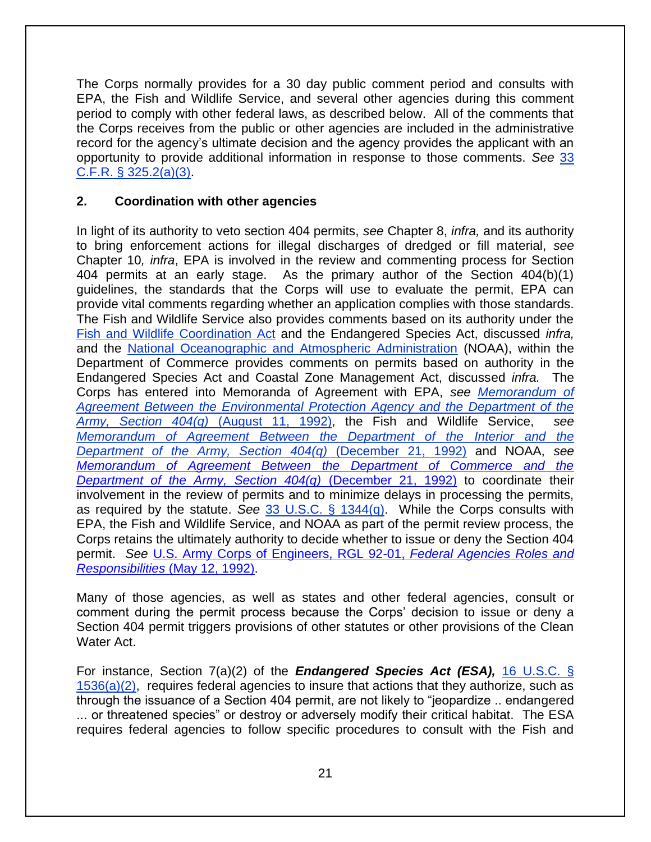The Corps normally provides for a 30 day public comment period and consults with EPA, the Fish and Wildlife Service, and several other agencies during this comment period to comply with other federal laws, as described below. All of the comments that the Corps receives from the public or other agencies are included in the administrative record for the agency's ultimate decision and the agency provides the applicant with an opportunity to provide additional information in response to those comments. *See* [33](http://www.law.cornell.edu/cfr/text/33/325.2)  [C.F.R. § 325.2\(a\)\(3\).](http://www.law.cornell.edu/cfr/text/33/325.2)

#### **2. Coordination with other agencies**

In light of its authority to veto section 404 permits, *see* Chapter 8, *infra,* and its authority to bring enforcement actions for illegal discharges of dredged or fill material, *see* Chapter 10*, infra*, EPA is involved in the review and commenting process for Section 404 permits at an early stage. As the primary author of the Section 404(b)(1) guidelines, the standards that the Corps will use to evaluate the permit, EPA can provide vital comments regarding whether an application complies with those standards. The Fish and Wildlife Service also provides comments based on its authority under the [Fish and Wildlife Coordination Act](http://www.law.cornell.edu/uscode/text/16/chapter-5A) and the Endangered Species Act, discussed *infra,*  and the [National Oceanographic and Atmospheric Administration](http://www.noaa.gov/) (NOAA), within the Department of Commerce provides comments on permits based on authority in the Endangered Species Act and Coastal Zone Management Act, discussed *infra.* The Corps has entered into Memoranda of Agreement with EPA, *see [Memorandum of](http://water.epa.gov/lawsregs/guidance/wetlands/dispmoa.cfm)  [Agreement Between the Environmental Protection Agency and the Department of the](http://water.epa.gov/lawsregs/guidance/wetlands/dispmoa.cfm)  [Army, Section 404\(q\)](http://water.epa.gov/lawsregs/guidance/wetlands/dispmoa.cfm)* (August 11, 1992), the Fish and Wildlife Service, *see [Memorandum of Agreement Between the Department of the Interior and the](http://www.fws.gov/habitatconservation/404qMOA_FWS.pdf)  [Department of the Army, Section 404\(q\)](http://www.fws.gov/habitatconservation/404qMOA_FWS.pdf)* (December 21, 1992) and NOAA, *see [Memorandum of Agreement Between the Department of Commerce and the](https://usace.contentdm.oclc.org/utils/getfile/collection/p16021coll11/id/2511)  [Department of the Army, Section 404\(q\)](https://usace.contentdm.oclc.org/utils/getfile/collection/p16021coll11/id/2511)* (December 21, 1992) to coordinate their involvement in the review of permits and to minimize delays in processing the permits, as required by the statute. *See* [33 U.S.C. § 1344\(q\).](http://www.law.cornell.edu/uscode/text/33/1344) While the Corps consults with EPA, the Fish and Wildlife Service, and NOAA as part of the permit review process, the Corps retains the ultimately authority to decide whether to issue or deny the Section 404 permit. *See* [U.S. Army Corps of Engineers, RGL 92-01,](https://usace.contentdm.oclc.org/utils/getfile/collection/p16021coll9/id/1379) *Federal Agencies Roles and [Responsibilities](https://usace.contentdm.oclc.org/utils/getfile/collection/p16021coll9/id/1379)* (May 12, 1992).

Many of those agencies, as well as states and other federal agencies, consult or comment during the permit process because the Corps' decision to issue or deny a Section 404 permit triggers provisions of other statutes or other provisions of the Clean Water Act.

For instance, Section 7(a)(2) of the *Endangered Species Act (ESA),* [16 U.S.C. §](http://www.law.cornell.edu/uscode/text/16/1536)   $1536(a)(2)$ , requires federal agencies to insure that actions that they authorize, such as through the issuance of a Section 404 permit, are not likely to "jeopardize .. endangered ... or threatened species" or destroy or adversely modify their critical habitat. The ESA requires federal agencies to follow specific procedures to consult with the Fish and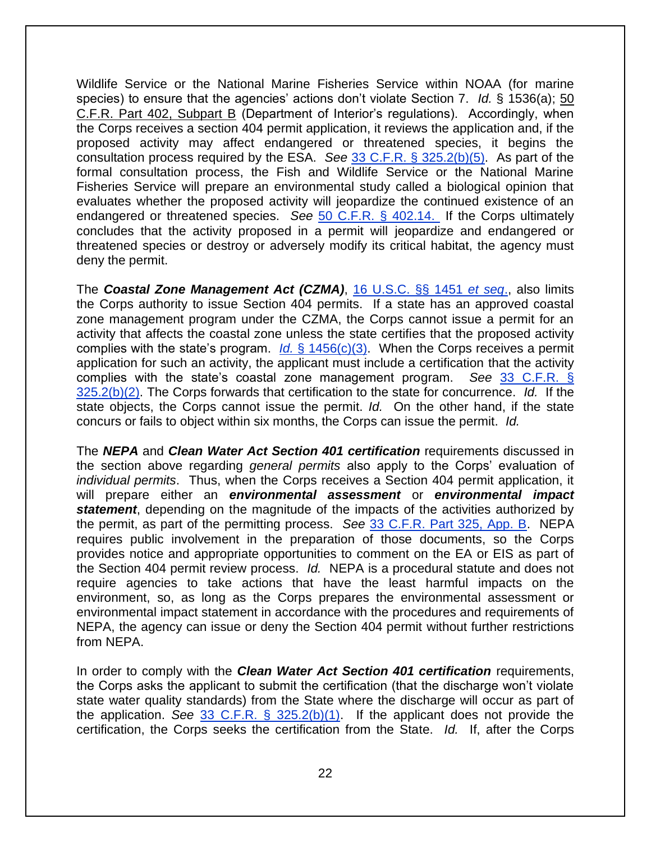Wildlife Service or the National Marine Fisheries Service within NOAA (for marine species) to ensure that the agencies' actions don't violate Section 7. *Id.* § 1536(a); [50](http://www.law.cornell.edu/cfr/text/50/part-402/subpart-B)  [C.F.R. Part 402, Subpart B](http://www.law.cornell.edu/cfr/text/50/part-402/subpart-B) (Department of Interior's regulations). Accordingly, when the Corps receives a section 404 permit application, it reviews the application and, if the proposed activity may affect endangered or threatened species, it begins the consultation process required by the ESA. *See* [33 C.F.R. § 325.2\(b\)\(5\).](http://www.law.cornell.edu/cfr/text/33/325.2) As part of the formal consultation process, the Fish and Wildlife Service or the National Marine Fisheries Service will prepare an environmental study called a biological opinion that evaluates whether the proposed activity will jeopardize the continued existence of an endangered or threatened species. *See* [50 C.F.R. § 402.14.](http://www.law.cornell.edu/cfr/text/50/402.14) If the Corps ultimately concludes that the activity proposed in a permit will jeopardize and endangered or threatened species or destroy or adversely modify its critical habitat, the agency must deny the permit.

The *Coastal Zone Management Act (CZMA)*, [16 U.S.C. §§](http://www.law.cornell.edu/uscode/text/16/chapter-33) 1451 *et seq*., also limits the Corps authority to issue Section 404 permits. If a state has an approved coastal zone management program under the CZMA, the Corps cannot issue a permit for an activity that affects the coastal zone unless the state certifies that the proposed activity complies with the state's program. *Id.* [§ 1456\(c\)\(3\).](http://www.law.cornell.edu/uscode/text/16/1456) When the Corps receives a permit application for such an activity, the applicant must include a certification that the activity complies with the state's coastal zone management program. *See* [33 C.F.R. §](http://www.law.cornell.edu/cfr/text/33/325.2)  [325.2\(b\)\(2\).](http://www.law.cornell.edu/cfr/text/33/325.2) The Corps forwards that certification to the state for concurrence. *Id.* If the state objects, the Corps cannot issue the permit. *Id.* On the other hand, if the state concurs or fails to object within six months, the Corps can issue the permit. *Id.* 

The *NEPA* and *Clean Water Act Section 401 certification* requirements discussed in the section above regarding *general permits* also apply to the Corps' evaluation of *individual permits*. Thus, when the Corps receives a Section 404 permit application, it will prepare either an *environmental assessment* or *environmental impact statement*, depending on the magnitude of the impacts of the activities authorized by the permit, as part of the permitting process. *See* [33 C.F.R. Part 325, App. B.](http://www.law.cornell.edu/cfr/text/33/part-325/appendix-B) NEPA requires public involvement in the preparation of those documents, so the Corps provides notice and appropriate opportunities to comment on the EA or EIS as part of the Section 404 permit review process. *Id.* NEPA is a procedural statute and does not require agencies to take actions that have the least harmful impacts on the environment, so, as long as the Corps prepares the environmental assessment or environmental impact statement in accordance with the procedures and requirements of NEPA, the agency can issue or deny the Section 404 permit without further restrictions from NEPA.

In order to comply with the *Clean Water Act Section 401 certification* requirements, the Corps asks the applicant to submit the certification (that the discharge won't violate state water quality standards) from the State where the discharge will occur as part of the application. *See* [33 C.F.R. § 325.2\(b\)\(1\).](http://www.law.cornell.edu/cfr/text/33/325.2) If the applicant does not provide the certification, the Corps seeks the certification from the State. *Id.* If, after the Corps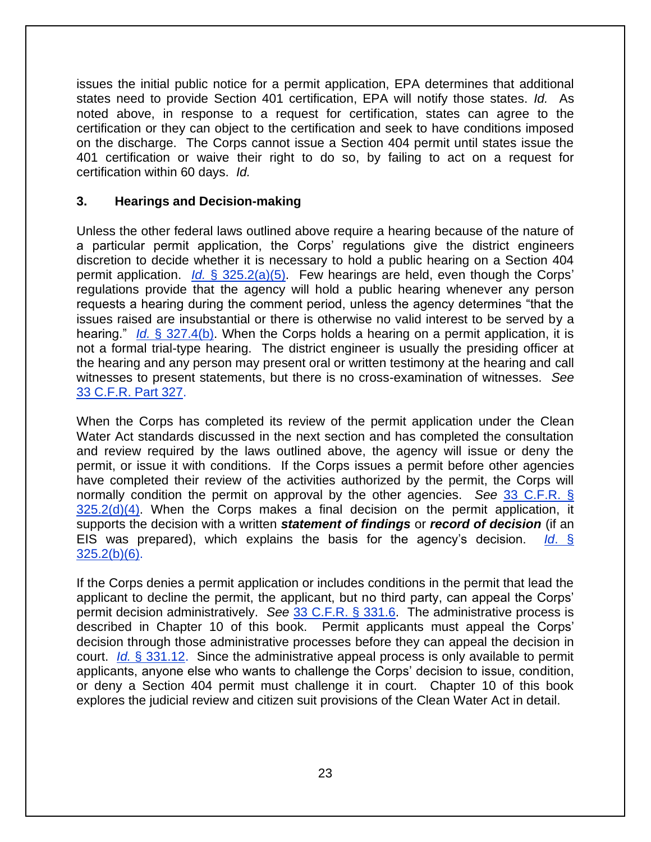issues the initial public notice for a permit application, EPA determines that additional states need to provide Section 401 certification, EPA will notify those states. *Id.* As noted above, in response to a request for certification, states can agree to the certification or they can object to the certification and seek to have conditions imposed on the discharge. The Corps cannot issue a Section 404 permit until states issue the 401 certification or waive their right to do so, by failing to act on a request for certification within 60 days. *Id.* 

#### **3. Hearings and Decision-making**

Unless the other federal laws outlined above require a hearing because of the nature of a particular permit application, the Corps' regulations give the district engineers discretion to decide whether it is necessary to hold a public hearing on a Section 404 permit application. *Id.* [§ 325.2\(a\)\(5\).](http://www.law.cornell.edu/cfr/text/33/325.2) Few hearings are held, even though the Corps' regulations provide that the agency will hold a public hearing whenever any person requests a hearing during the comment period, unless the agency determines "that the issues raised are insubstantial or there is otherwise no valid interest to be served by a hearing." *Id.* [§ 327.4\(b\).](http://www.law.cornell.edu/cfr/text/33/327.4) When the Corps holds a hearing on a permit application, it is not a formal trial-type hearing. The district engineer is usually the presiding officer at the hearing and any person may present oral or written testimony at the hearing and call witnesses to present statements, but there is no cross-examination of witnesses. *See* [33 C.F.R. Part 327.](http://www.law.cornell.edu/cfr/text/33/part-327)

When the Corps has completed its review of the permit application under the Clean Water Act standards discussed in the next section and has completed the consultation and review required by the laws outlined above, the agency will issue or deny the permit, or issue it with conditions. If the Corps issues a permit before other agencies have completed their review of the activities authorized by the permit, the Corps will normally condition the permit on approval by the other agencies. *See* [33 C.F.R. §](http://www.law.cornell.edu/cfr/text/33/325.2)   $325.2(d)(4)$ . When the Corps makes a final decision on the permit application, it supports the decision with a written *statement of findings* or *record of decision* (if an EIS was prepared), which explains the basis for the agency's decision. *Id*[. §](http://www.law.cornell.edu/cfr/text/33/325.2)  [325.2\(b\)\(6\).](http://www.law.cornell.edu/cfr/text/33/325.2)

If the Corps denies a permit application or includes conditions in the permit that lead the applicant to decline the permit, the applicant, but no third party, can appeal the Corps' permit decision administratively. *See* [33 C.F.R. § 331.6.](http://www.law.cornell.edu/cfr/text/33/331.6) The administrative process is described in Chapter 10 of this book. Permit applicants must appeal the Corps' decision through those administrative processes before they can appeal the decision in court. *Id.* [§ 331.12.](http://www.law.cornell.edu/cfr/text/33/331.12) Since the administrative appeal process is only available to permit applicants, anyone else who wants to challenge the Corps' decision to issue, condition, or deny a Section 404 permit must challenge it in court. Chapter 10 of this book explores the judicial review and citizen suit provisions of the Clean Water Act in detail.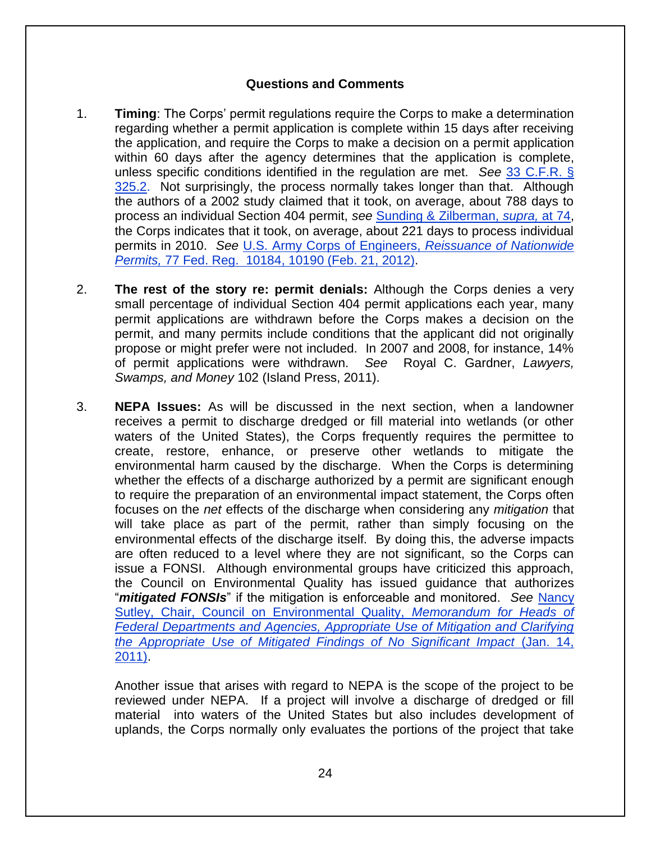#### **Questions and Comments**

- 1. **Timing**: The Corps' permit regulations require the Corps to make a determination regarding whether a permit application is complete within 15 days after receiving the application, and require the Corps to make a decision on a permit application within 60 days after the agency determines that the application is complete, unless specific conditions identified in the regulation are met. *See* [33 C.F.R. §](http://www.law.cornell.edu/cfr/text/33/325.2)  [325.2.](http://www.law.cornell.edu/cfr/text/33/325.2) Not surprisingly, the process normally takes longer than that. Although the authors of a 2002 study claimed that it took, on average, about 788 days to process an individual Section 404 permit, *see* [Sunding & Zilberman,](http://areweb.berkeley.edu/~sunding/Economcs%20of%20Environmental%20Regulation.pdf) *supra,* at 74, the Corps indicates that it took, on average, about 221 days to process individual permits in 2010. *See* [U.S. Army Corps of Engineers,](http://www.gpo.gov/fdsys/pkg/FR-2012-02-21/pdf/2012-3687.pdf) *Reissuance of Nationwide Permits,* 77 Fed. Reg. [10184, 10190 \(Feb. 21, 2012\).](http://www.gpo.gov/fdsys/pkg/FR-2012-02-21/pdf/2012-3687.pdf)
- 2. **The rest of the story re: permit denials:** Although the Corps denies a very small percentage of individual Section 404 permit applications each year, many permit applications are withdrawn before the Corps makes a decision on the permit, and many permits include conditions that the applicant did not originally propose or might prefer were not included. In 2007 and 2008, for instance, 14% of permit applications were withdrawn. *See* Royal C. Gardner, *Lawyers, Swamps, and Money* 102 (Island Press, 2011).
- 3. **NEPA Issues:** As will be discussed in the next section, when a landowner receives a permit to discharge dredged or fill material into wetlands (or other waters of the United States), the Corps frequently requires the permittee to create, restore, enhance, or preserve other wetlands to mitigate the environmental harm caused by the discharge. When the Corps is determining whether the effects of a discharge authorized by a permit are significant enough to require the preparation of an environmental impact statement, the Corps often focuses on the *net* effects of the discharge when considering any *mitigation* that will take place as part of the permit, rather than simply focusing on the environmental effects of the discharge itself. By doing this, the adverse impacts are often reduced to a level where they are not significant, so the Corps can issue a FONSI. Although environmental groups have criticized this approach, the Council on Environmental Quality has issued guidance that authorizes "*mitigated FONSIs*" if the mitigation is enforceable and monitored. *See* [Nancy](http://energy.gov/sites/prod/files/NEPA-CEQ_Mitigation_and_Monitoring_Guidance_14Jan2011.pdf)  [Sutley, Chair, Council on Environmental Quality,](http://energy.gov/sites/prod/files/NEPA-CEQ_Mitigation_and_Monitoring_Guidance_14Jan2011.pdf) *Memorandum for Heads of [Federal Departments and Agencies, Appropriate Use of Mitigation and Clarifying](http://energy.gov/sites/prod/files/NEPA-CEQ_Mitigation_and_Monitoring_Guidance_14Jan2011.pdf)  [the Appropriate Use of Mitigated Findings of No Significant Impact](http://energy.gov/sites/prod/files/NEPA-CEQ_Mitigation_and_Monitoring_Guidance_14Jan2011.pdf)* (Jan. 14, [2011\).](http://energy.gov/sites/prod/files/NEPA-CEQ_Mitigation_and_Monitoring_Guidance_14Jan2011.pdf)

Another issue that arises with regard to NEPA is the scope of the project to be reviewed under NEPA. If a project will involve a discharge of dredged or fill material into waters of the United States but also includes development of uplands, the Corps normally only evaluates the portions of the project that take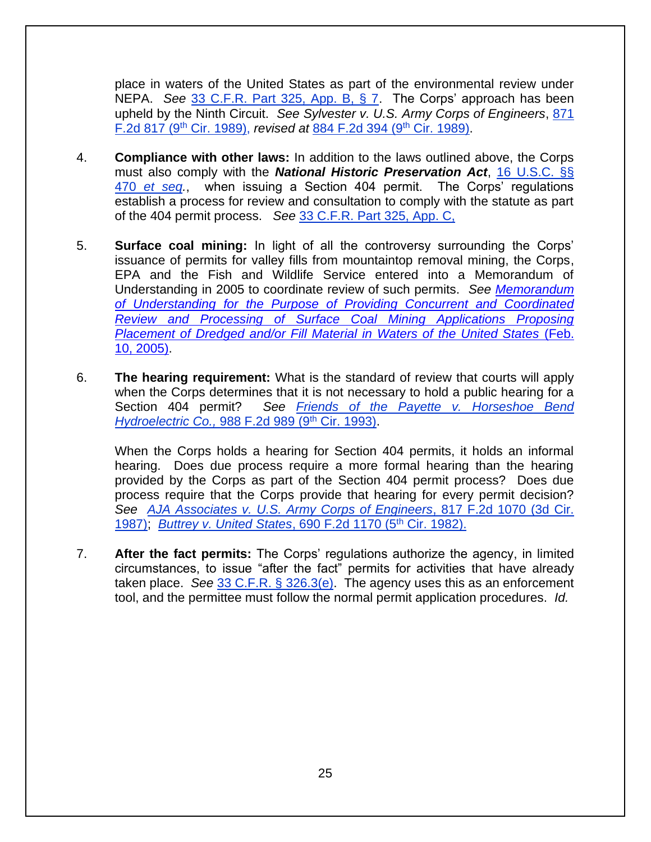place in waters of the United States as part of the environmental review under NEPA. *See* [33 C.F.R. Part 325, App. B, § 7.](http://www.law.cornell.edu/cfr/text/33/part-325/appendix-B) The Corps' approach has been upheld by the Ninth Circuit. *See Sylvester v. U.S. Army Corps of Engineers*, [871](http://law.justia.com/cases/federal/appellate-courts/F2/871/817/44699/)  [F.2d 817 \(9](http://law.justia.com/cases/federal/appellate-courts/F2/871/817/44699/)th Cir. 1989), *revised at* [884 F.2d 394 \(9](http://law.justia.com/cases/federal/appellate-courts/F2/884/394/463641/)th Cir. 1989).

- 4. **Compliance with other laws:** In addition to the laws outlined above, the Corps must also comply with the *National Historic Preservation Act*, [16 U.S.C. §§](http://www.law.cornell.edu/uscode/text/16/chapter-1A/subchapter-II)  470 *[et seq.](http://www.law.cornell.edu/uscode/text/16/chapter-1A/subchapter-II)*, when issuing a Section 404 permit. The Corps' regulations establish a process for review and consultation to comply with the statute as part of the 404 permit process. *See* [33 C.F.R. Part 325, App. C,](http://www.law.cornell.edu/cfr/text/33/part-325/appendix-C)
- 5. **Surface coal mining:** In light of all the controversy surrounding the Corps' issuance of permits for valley fills from mountaintop removal mining, the Corps, EPA and the Fish and Wildlife Service entered into a Memorandum of Understanding in 2005 to coordinate review of such permits. *See [Memorandum](https://usace.contentdm.oclc.org/digital/collection/p16021coll11/id/2512/)  [of Understanding for the Purpose of Providing Concurrent and Coordinated](https://usace.contentdm.oclc.org/digital/collection/p16021coll11/id/2512/)  [Review and Processing of Surface Coal Mining Applications Proposing](https://usace.contentdm.oclc.org/digital/collection/p16021coll11/id/2512/)  [Placement of Dredged and/or Fill Material in Waters of the United States](https://usace.contentdm.oclc.org/digital/collection/p16021coll11/id/2512/)* (Feb. [10, 2005\).](https://usace.contentdm.oclc.org/digital/collection/p16021coll11/id/2512/)
- 6. **The hearing requirement:** What is the standard of review that courts will apply when the Corps determines that it is not necessary to hold a public hearing for a Section 404 permit? *See [Friends of the Payette v.](http://law.justia.com/cases/federal/appellate-courts/F2/988/989/142159/) Horseshoe Bend [Hydroelectric Co.,](http://law.justia.com/cases/federal/appellate-courts/F2/988/989/142159/) 988 F.2d 989 (9<sup>th</sup> Cir. 1993).*

When the Corps holds a hearing for Section 404 permits, it holds an informal hearing. Does due process require a more formal hearing than the hearing provided by the Corps as part of the Section 404 permit process? Does due process require that the Corps provide that hearing for every permit decision? *See [AJA Associates v. U.S. Army Corps of Engineers](http://law.justia.com/cases/federal/appellate-courts/F2/817/1070/467948/)*, 817 F.2d 1070 (3d Cir. [1987\);](http://law.justia.com/cases/federal/appellate-courts/F2/817/1070/467948/) *[Buttrey v. United States](http://law.justia.com/cases/federal/appellate-courts/F2/690/1170/107678/)*, 690 F.2d 1170 (5th Cir. 1982).

7. **After the fact permits:** The Corps' regulations authorize the agency, in limited circumstances, to issue "after the fact" permits for activities that have already taken place. *See* [33 C.F.R. § 326.3\(e\).](http://www.law.cornell.edu/cfr/text/33/326.3) The agency uses this as an enforcement tool, and the permittee must follow the normal permit application procedures. *Id.*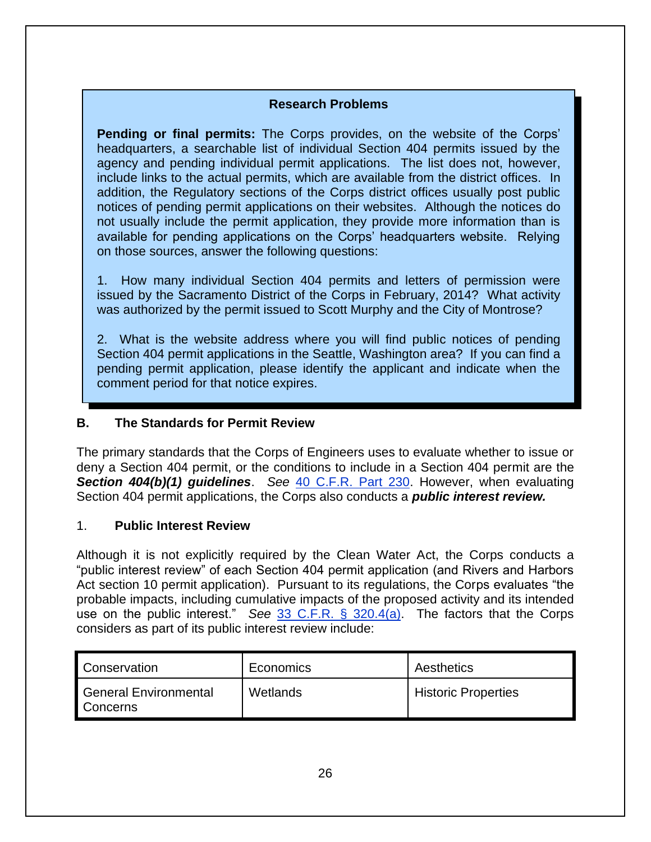#### **Research Problems**

**Pending or final permits:** The Corps provides, on the website of the Corps' headquarters, a searchable list of individual Section 404 permits issued by the agency and pending individual permit applications. The list does not, however, include links to the actual permits, which are available from the district offices. In addition, the Regulatory sections of the Corps district offices usually post public notices of pending permit applications on their websites. Although the notices do not usually include the permit application, they provide more information than is available for pending applications on the Corps' headquarters website. Relying on those sources, answer the following questions:

1. How many individual Section 404 permits and letters of permission were issued by the Sacramento District of the Corps in February, 2014? What activity was authorized by the permit issued to Scott Murphy and the City of Montrose?

2. What is the website address where you will find public notices of pending Section 404 permit applications in the Seattle, Washington area? If you can find a pending permit application, please identify the applicant and indicate when the comment period for that notice expires.

#### **B. The Standards for Permit Review**

The primary standards that the Corps of Engineers uses to evaluate whether to issue or deny a Section 404 permit, or the conditions to include in a Section 404 permit are the *Section 404(b)(1) guidelines*. *See* [40 C.F.R. Part 230.](http://www.law.cornell.edu/cfr/text/40/part-230) However, when evaluating Section 404 permit applications, the Corps also conducts a *public interest review.* 

#### 1. **Public Interest Review**

Although it is not explicitly required by the Clean Water Act, the Corps conducts a "public interest review" of each Section 404 permit application (and Rivers and Harbors Act section 10 permit application). Pursuant to its regulations, the Corps evaluates "the probable impacts, including cumulative impacts of the proposed activity and its intended use on the public interest." *See* [33 C.F.R. § 320.4\(a\).](http://www.law.cornell.edu/cfr/text/33/320.4) The factors that the Corps considers as part of its public interest review include:

| Conservation                      | Economics | Aesthetics                 |
|-----------------------------------|-----------|----------------------------|
| General Environmental<br>Concerns | Wetlands  | <b>Historic Properties</b> |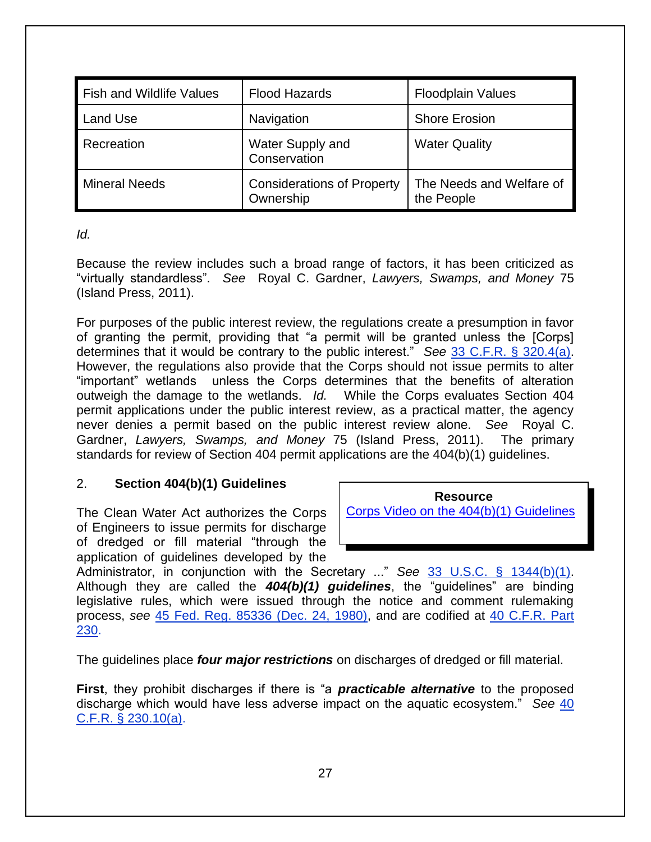| <b>Fish and Wildlife Values</b> | <b>Flood Hazards</b>                           | <b>Floodplain Values</b>               |
|---------------------------------|------------------------------------------------|----------------------------------------|
| <b>Land Use</b>                 | Navigation                                     | <b>Shore Erosion</b>                   |
| Recreation                      | Water Supply and<br>Conservation               | <b>Water Quality</b>                   |
| <b>Mineral Needs</b>            | <b>Considerations of Property</b><br>Ownership | The Needs and Welfare of<br>the People |

#### *Id.*

Because the review includes such a broad range of factors, it has been criticized as "virtually standardless". *See* Royal C. Gardner, *Lawyers, Swamps, and Money* 75 (Island Press, 2011).

For purposes of the public interest review, the regulations create a presumption in favor of granting the permit, providing that "a permit will be granted unless the [Corps] determines that it would be contrary to the public interest." *See* [33 C.F.R. § 320.4\(a\).](http://www.law.cornell.edu/cfr/text/33/320.4) However, the regulations also provide that the Corps should not issue permits to alter "important" wetlands unless the Corps determines that the benefits of alteration outweigh the damage to the wetlands. *Id.* While the Corps evaluates Section 404 permit applications under the public interest review, as a practical matter, the agency never denies a permit based on the public interest review alone. *See* Royal C. Gardner, *Lawyers, Swamps, and Money* 75 (Island Press, 2011). The primary standards for review of Section 404 permit applications are the 404(b)(1) guidelines.

#### 2. **Section 404(b)(1) Guidelines**

The Clean Water Act authorizes the Corps of Engineers to issue permits for discharge of dredged or fill material "through the application of guidelines developed by the

**Resource** [Corps Video on the 404\(b\)\(1\) Guidelines](http://www.dvidshub.net/video/embed/157323) 

Administrator, in conjunction with the Secretary ..." *See* [33 U.S.C. § 1344\(b\)\(1\).](http://www.law.cornell.edu/uscode/text/33/1344) Although they are called the *404(b)(1) guidelines*, the "guidelines" are binding legislative rules, which were issued through the notice and comment rulemaking process, *see* [45 Fed. Reg. 85336 \(Dec. 24, 1980\),](http://www.envirolawteachers.com/45-fed-reg-85336.html) and are codified at [40 C.F.R. Part](http://www.law.cornell.edu/cfr/text/40/part-230)  [230.](http://www.law.cornell.edu/cfr/text/40/part-230)

The guidelines place *four major restrictions* on discharges of dredged or fill material.

**First**, they prohibit discharges if there is "a *practicable alternative* to the proposed discharge which would have less adverse impact on the aquatic ecosystem." *See* [40](http://www.law.cornell.edu/cfr/text/40/230.10)  [C.F.R. § 230.10\(a\).](http://www.law.cornell.edu/cfr/text/40/230.10)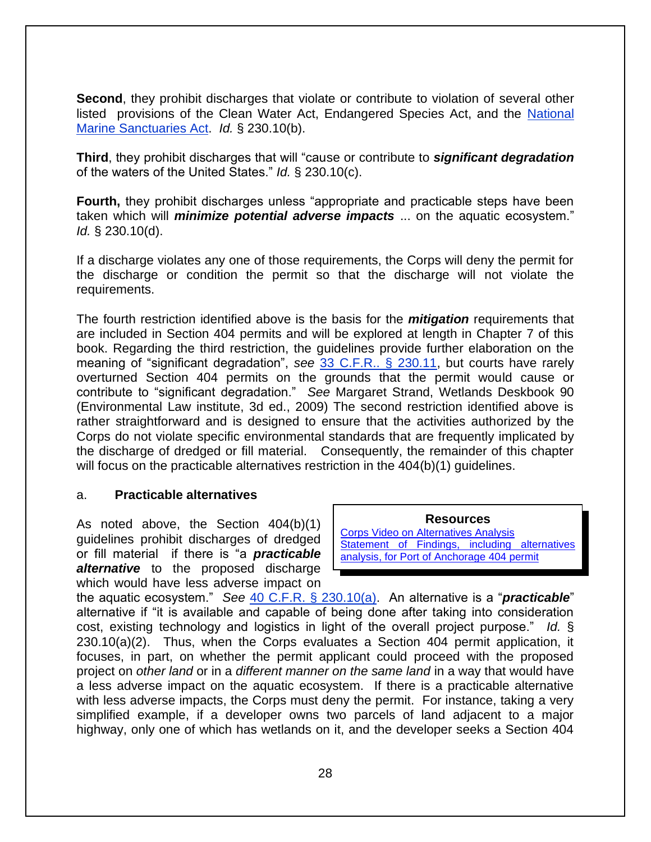**Second**, they prohibit discharges that violate or contribute to violation of several other listed provisions of the Clean Water Act, Endangered Species Act, and the [National](http://www.law.cornell.edu/uscode/text/16/chapter-32)  [Marine Sanctuaries Act.](http://www.law.cornell.edu/uscode/text/16/chapter-32) *Id.* § 230.10(b).

**Third**, they prohibit discharges that will "cause or contribute to *significant degradation*  of the waters of the United States." *Id.* § 230.10(c).

**Fourth,** they prohibit discharges unless "appropriate and practicable steps have been taken which will *minimize potential adverse impacts* ... on the aquatic ecosystem." *Id.* § 230.10(d).

If a discharge violates any one of those requirements, the Corps will deny the permit for the discharge or condition the permit so that the discharge will not violate the requirements.

The fourth restriction identified above is the basis for the *mitigation* requirements that are included in Section 404 permits and will be explored at length in Chapter 7 of this book. Regarding the third restriction, the guidelines provide further elaboration on the meaning of "significant degradation", *see* [33 C.F.R.. § 230.11,](http://www.law.cornell.edu/cfr/text/40/230.11) but courts have rarely overturned Section 404 permits on the grounds that the permit would cause or contribute to "significant degradation." *See* Margaret Strand, Wetlands Deskbook 90 (Environmental Law institute, 3d ed., 2009) The second restriction identified above is rather straightforward and is designed to ensure that the activities authorized by the Corps do not violate specific environmental standards that are frequently implicated by the discharge of dredged or fill material. Consequently, the remainder of this chapter will focus on the practicable alternatives restriction in the 404(b)(1) guidelines.

#### a. **Practicable alternatives**

As noted above, the Section 404(b)(1) guidelines prohibit discharges of dredged or fill material if there is "a *practicable alternative* to the proposed discharge which would have less adverse impact on

**Resources**

[Corps Video on Alternatives Analysis](http://www.dvidshub.net/video/embed/148989) [Statement of Findings, including alternatives](http://www.usace.army.mil/Portals/2/docs/exhibit4.pdf)  [analysis, for Port of Anchorage 404 permit](http://www.usace.army.mil/Portals/2/docs/exhibit4.pdf)

the aquatic ecosystem." *See* [40 C.F.R. § 230.10\(a\).](http://www.law.cornell.edu/cfr/text/40/230.10) An alternative is a "*practicable*" alternative if "it is available and capable of being done after taking into consideration cost, existing technology and logistics in light of the overall project purpose." *Id.* § 230.10(a)(2). Thus, when the Corps evaluates a Section 404 permit application, it focuses, in part, on whether the permit applicant could proceed with the proposed project on *other land* or in a *different manner on the same land* in a way that would have a less adverse impact on the aquatic ecosystem. If there is a practicable alternative with less adverse impacts, the Corps must deny the permit. For instance, taking a very simplified example, if a developer owns two parcels of land adjacent to a major highway, only one of which has wetlands on it, and the developer seeks a Section 404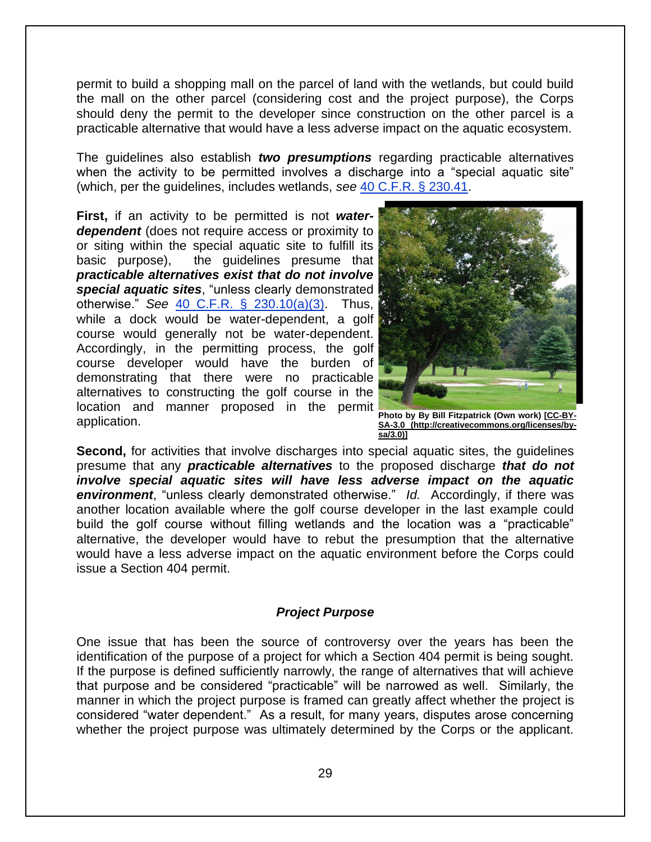permit to build a shopping mall on the parcel of land with the wetlands, but could build the mall on the other parcel (considering cost and the project purpose), the Corps should deny the permit to the developer since construction on the other parcel is a practicable alternative that would have a less adverse impact on the aquatic ecosystem.

The guidelines also establish *two presumptions* regarding practicable alternatives when the activity to be permitted involves a discharge into a "special aquatic site" (which, per the guidelines, includes wetlands, *see* [40 C.F.R. § 230.41.](http://www.law.cornell.edu/cfr/text/40/230.41)

**First,** if an activity to be permitted is not *waterdependent* (does not require access or proximity to or siting within the special aquatic site to fulfill its basic purpose), the guidelines presume that *practicable alternatives exist that do not involve special aquatic sites*, "unless clearly demonstrated otherwise." *See* [40 C.F.R. § 230.10\(a\)\(3\).](http://www.law.cornell.edu/cfr/text/40/230.10) Thus, while a dock would be water-dependent, a golf course would generally not be water-dependent. Accordingly, in the permitting process, the golf course developer would have the burden of demonstrating that there were no practicable alternatives to constructing the golf course in the location and manner proposed in the permit application.



**Photo by By Bill Fitzpatrick (Own work[\) \[CC-BY-](http://commons.wikimedia.org/wiki/File%3AMunicipal_Golf_Course.jpg)[SA-3.0 \(http://creativecommons.org/licenses/by](http://commons.wikimedia.org/wiki/File%3AMunicipal_Golf_Course.jpg)[sa/3.0\)\]](http://commons.wikimedia.org/wiki/File%3AMunicipal_Golf_Course.jpg)**

**Second,** for activities that involve discharges into special aquatic sites, the guidelines presume that any *practicable alternatives* to the proposed discharge *that do not involve special aquatic sites will have less adverse impact on the aquatic environment*, "unless clearly demonstrated otherwise." *Id.* Accordingly, if there was another location available where the golf course developer in the last example could build the golf course without filling wetlands and the location was a "practicable" alternative, the developer would have to rebut the presumption that the alternative would have a less adverse impact on the aquatic environment before the Corps could issue a Section 404 permit.

#### *Project Purpose*

One issue that has been the source of controversy over the years has been the identification of the purpose of a project for which a Section 404 permit is being sought. If the purpose is defined sufficiently narrowly, the range of alternatives that will achieve that purpose and be considered "practicable" will be narrowed as well. Similarly, the manner in which the project purpose is framed can greatly affect whether the project is considered "water dependent." As a result, for many years, disputes arose concerning whether the project purpose was ultimately determined by the Corps or the applicant.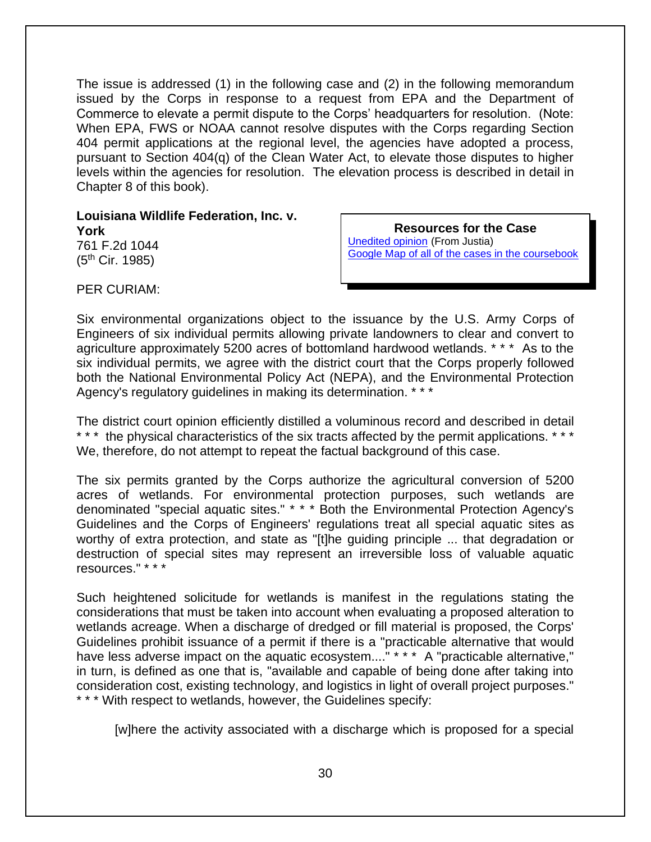The issue is addressed (1) in the following case and (2) in the following memorandum issued by the Corps in response to a request from EPA and the Department of Commerce to elevate a permit dispute to the Corps' headquarters for resolution. (Note: When EPA, FWS or NOAA cannot resolve disputes with the Corps regarding Section 404 permit applications at the regional level, the agencies have adopted a process, pursuant to Section 404(q) of the Clean Water Act, to elevate those disputes to higher levels within the agencies for resolution. The elevation process is described in detail in Chapter 8 of this book).

**Louisiana Wildlife Federation, Inc. v. York** 761 F.2d 1044  $(5<sup>th</sup>$  Cir. 1985)

**Resources for the Case** [Unedited opinion](http://law.justia.com/cases/federal/appellate-courts/F2/761/1044/277505/) (From Justia) Google Map of [all of the cases in the coursebook](https://mapsengine.google.com/map/viewer?hl=en&authuser=0&mid=z7VLNS5X2EBs.k2lYjQFqDWiI)

PER CURIAM:

Six environmental organizations object to the issuance by the U.S. Army Corps of Engineers of six individual permits allowing private landowners to clear and convert to agriculture approximately 5200 acres of bottomland hardwood wetlands. \* \* \* As to the six individual permits, we agree with the district court that the Corps properly followed both the National Environmental Policy Act (NEPA), and the Environmental Protection Agency's regulatory guidelines in making its determination. \* \* \*

The district court opinion efficiently distilled a voluminous record and described in detail \*\*\* the physical characteristics of the six tracts affected by the permit applications. \*\*\* We, therefore, do not attempt to repeat the factual background of this case.

The six permits granted by the Corps authorize the agricultural conversion of 5200 acres of wetlands. For environmental protection purposes, such wetlands are denominated "special aquatic sites." \* \* \* Both the Environmental Protection Agency's Guidelines and the Corps of Engineers' regulations treat all special aquatic sites as worthy of extra protection, and state as "[t]he guiding principle ... that degradation or destruction of special sites may represent an irreversible loss of valuable aquatic resources." \* \* \*

Such heightened solicitude for wetlands is manifest in the regulations stating the considerations that must be taken into account when evaluating a proposed alteration to wetlands acreage. When a discharge of dredged or fill material is proposed, the Corps' Guidelines prohibit issuance of a permit if there is a "practicable alternative that would have less adverse impact on the aquatic ecosystem...." \* \* \* A "practicable alternative," in turn, is defined as one that is, "available and capable of being done after taking into consideration cost, existing technology, and logistics in light of overall project purposes." \* \* \* With respect to wetlands, however, the Guidelines specify:

[w]here the activity associated with a discharge which is proposed for a special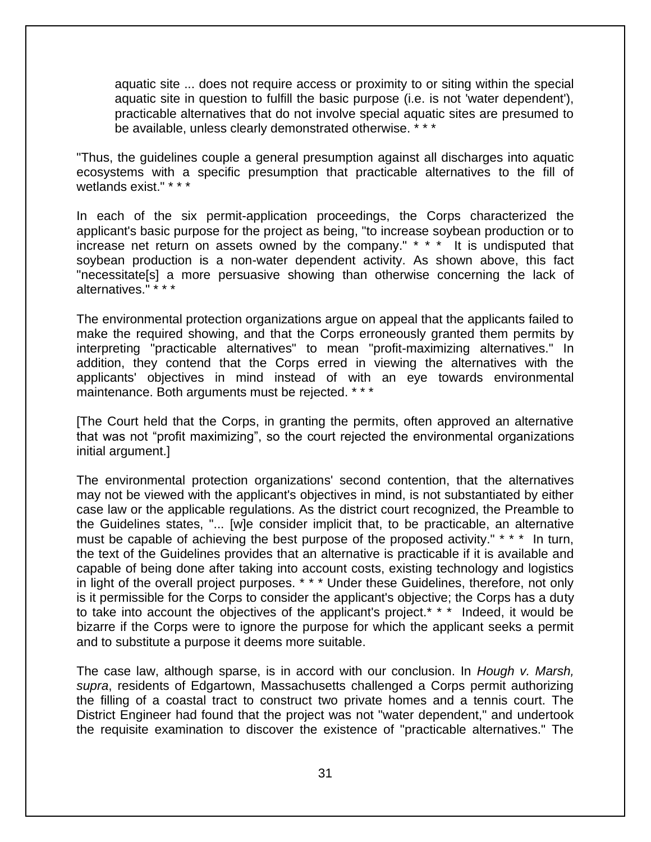aquatic site ... does not require access or proximity to or siting within the special aquatic site in question to fulfill the basic purpose (i.e. is not 'water dependent'), practicable alternatives that do not involve special aquatic sites are presumed to be available, unless clearly demonstrated otherwise. \* \* \*

"Thus, the guidelines couple a general presumption against all discharges into aquatic ecosystems with a specific presumption that practicable alternatives to the fill of wetlands exist." \* \* \*

In each of the six permit-application proceedings, the Corps characterized the applicant's basic purpose for the project as being, "to increase soybean production or to increase net return on assets owned by the company." \* \* \* It is undisputed that soybean production is a non-water dependent activity. As shown above, this fact "necessitate[s] a more persuasive showing than otherwise concerning the lack of alternatives." \* \* \*

The environmental protection organizations argue on appeal that the applicants failed to make the required showing, and that the Corps erroneously granted them permits by interpreting "practicable alternatives" to mean "profit-maximizing alternatives." In addition, they contend that the Corps erred in viewing the alternatives with the applicants' objectives in mind instead of with an eye towards environmental maintenance. Both arguments must be rejected. \* \* \*

[The Court held that the Corps, in granting the permits, often approved an alternative that was not "profit maximizing", so the court rejected the environmental organizations initial argument.]

The environmental protection organizations' second contention, that the alternatives may not be viewed with the applicant's objectives in mind, is not substantiated by either case law or the applicable regulations. As the district court recognized, the Preamble to the Guidelines states, "... [w]e consider implicit that, to be practicable, an alternative must be capable of achieving the best purpose of the proposed activity." \* \* \* In turn, the text of the Guidelines provides that an alternative is practicable if it is available and capable of being done after taking into account costs, existing technology and logistics in light of the overall project purposes. \* \* \* Under these Guidelines, therefore, not only is it permissible for the Corps to consider the applicant's objective; the Corps has a duty to take into account the objectives of the applicant's project.\* \* \* Indeed, it would be bizarre if the Corps were to ignore the purpose for which the applicant seeks a permit and to substitute a purpose it deems more suitable.

The case law, although sparse, is in accord with our conclusion. In *Hough v. Marsh, supra*, residents of Edgartown, Massachusetts challenged a Corps permit authorizing the filling of a coastal tract to construct two private homes and a tennis court. The District Engineer had found that the project was not "water dependent," and undertook the requisite examination to discover the existence of "practicable alternatives." The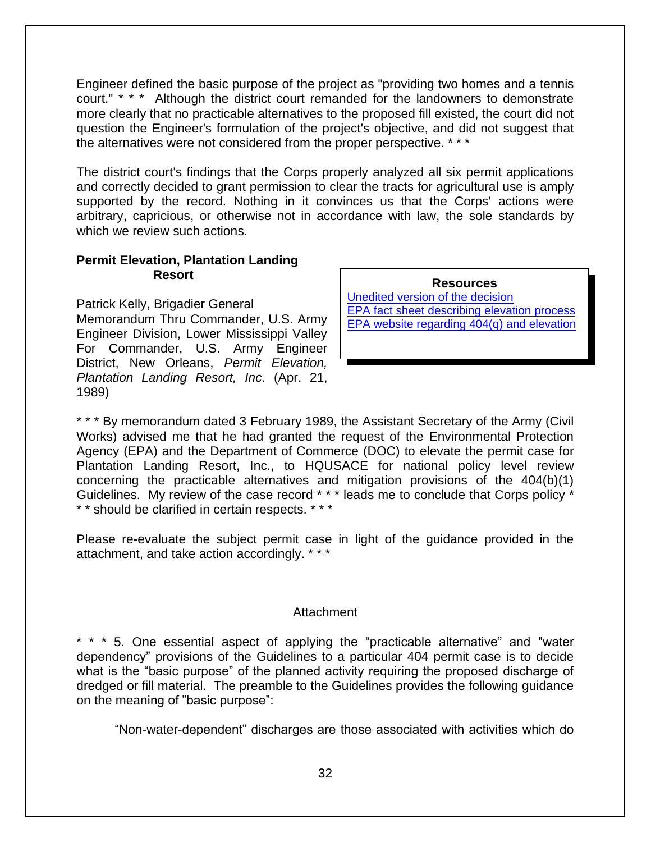Engineer defined the basic purpose of the project as "providing two homes and a tennis court." \* \* \* Although the district court remanded for the landowners to demonstrate more clearly that no practicable alternatives to the proposed fill existed, the court did not question the Engineer's formulation of the project's objective, and did not suggest that the alternatives were not considered from the proper perspective. \* \* \*

The district court's findings that the Corps properly analyzed all six permit applications and correctly decided to grant permission to clear the tracts for agricultural use is amply supported by the record. Nothing in it convinces us that the Corps' actions were arbitrary, capricious, or otherwise not in accordance with law, the sole standards by which we review such actions.

#### **Permit Elevation, Plantation Landing Resort**

Patrick Kelly, Brigadier General

Memorandum Thru Commander, U.S. Army Engineer Division, Lower Mississippi Valley For Commander, U.S. Army Engineer District, New Orleans, *Permit Elevation, Plantation Landing Resort, Inc*. (Apr. 21, 1989)

**Resources** [Unedited version of the decision](https://www.nrc.gov/docs/ML1308/ML13080A201.pdf) EPA fact sheet [describing elevation process](https://www.epa.gov/sites/production/files/2016-03/documents/404q_factsheet.pdf)

[EPA website regarding 404\(q\) and elevation](https://www.epa.gov/cwa-404/dispute-resolution-under-cwa-section-404q) 

\* \* \* By memorandum dated 3 February 1989, the Assistant Secretary of the Army (Civil Works) advised me that he had granted the request of the Environmental Protection Agency (EPA) and the Department of Commerce (DOC) to elevate the permit case for Plantation Landing Resort, Inc., to HQUSACE for national policy level review concerning the practicable alternatives and mitigation provisions of the 404(b)(1) Guidelines. My review of the case record \* \* \* leads me to conclude that Corps policy \* \* \* should be clarified in certain respects. \* \* \*

Please re-evaluate the subject permit case in light of the guidance provided in the attachment, and take action accordingly. \* \* \*

#### **Attachment**

\* \* \* 5. One essential aspect of applying the "practicable alternative" and "water dependency" provisions of the Guidelines to a particular 404 permit case is to decide what is the "basic purpose" of the planned activity requiring the proposed discharge of dredged or fill material. The preamble to the Guidelines provides the following guidance on the meaning of "basic purpose":

"Non-water-dependent" discharges are those associated with activities which do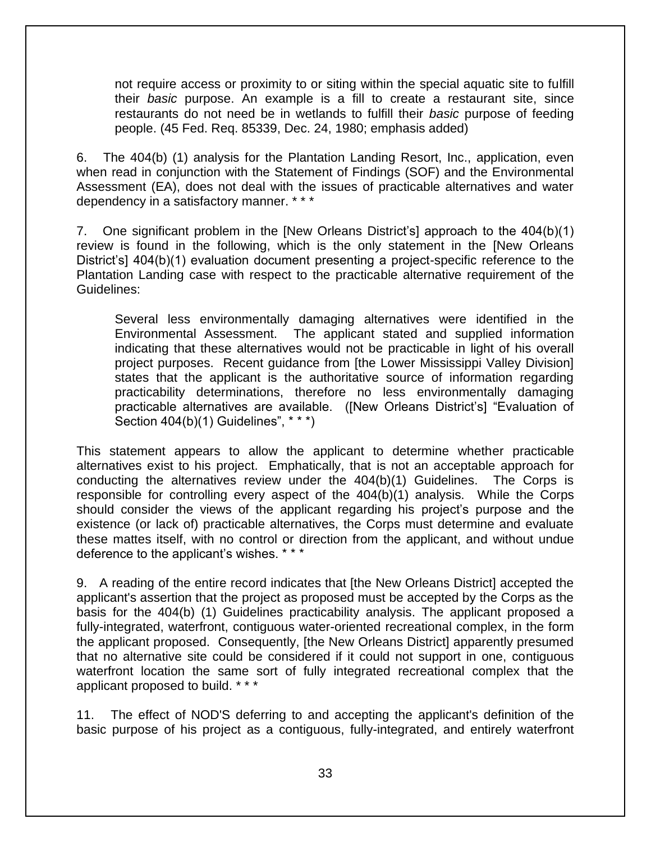not require access or proximity to or siting within the special aquatic site to fulfill their *basic* purpose. An example is a fill to create a restaurant site, since restaurants do not need be in wetlands to fulfill their *basic* purpose of feeding people. (45 Fed. Req. 85339, Dec. 24, 1980; emphasis added)

6. The 404(b) (1) analysis for the Plantation Landing Resort, Inc., application, even when read in conjunction with the Statement of Findings (SOF) and the Environmental Assessment (EA), does not deal with the issues of practicable alternatives and water dependency in a satisfactory manner. \* \* \*

7. One significant problem in the [New Orleans District's] approach to the 404(b)(1) review is found in the following, which is the only statement in the [New Orleans District's] 404(b)(1) evaluation document presenting a project-specific reference to the Plantation Landing case with respect to the practicable alternative requirement of the Guidelines:

Several less environmentally damaging alternatives were identified in the Environmental Assessment. The applicant stated and supplied information indicating that these alternatives would not be practicable in light of his overall project purposes. Recent guidance from [the Lower Mississippi Valley Division] states that the applicant is the authoritative source of information regarding practicability determinations, therefore no less environmentally damaging practicable alternatives are available. ([New Orleans District's] "Evaluation of Section 404(b)(1) Guidelines", \* \* \*)

This statement appears to allow the applicant to determine whether practicable alternatives exist to his project. Emphatically, that is not an acceptable approach for conducting the alternatives review under the 404(b)(1) Guidelines. The Corps is responsible for controlling every aspect of the 404(b)(1) analysis. While the Corps should consider the views of the applicant regarding his project's purpose and the existence (or lack of) practicable alternatives, the Corps must determine and evaluate these mattes itself, with no control or direction from the applicant, and without undue deference to the applicant's wishes. \* \* \*

9. A reading of the entire record indicates that [the New Orleans District] accepted the applicant's assertion that the project as proposed must be accepted by the Corps as the basis for the 404(b) (1) Guidelines practicability analysis. The applicant proposed a fully-integrated, waterfront, contiguous water-oriented recreational complex, in the form the applicant proposed. Consequently, [the New Orleans District] apparently presumed that no alternative site could be considered if it could not support in one, contiguous waterfront location the same sort of fully integrated recreational complex that the applicant proposed to build. \* \* \*

11. The effect of NOD'S deferring to and accepting the applicant's definition of the basic purpose of his project as a contiguous, fully-integrated, and entirely waterfront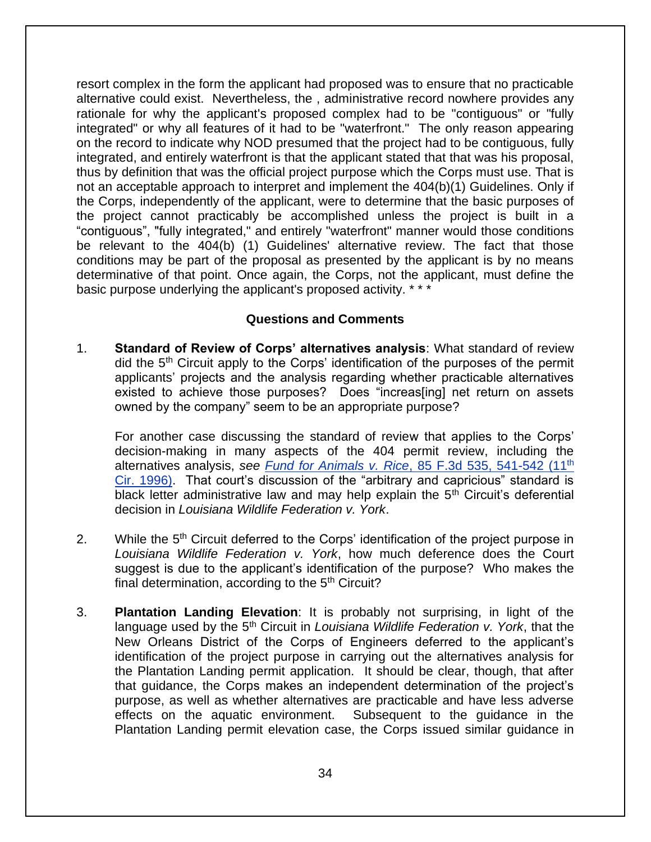resort complex in the form the applicant had proposed was to ensure that no practicable alternative could exist. Nevertheless, the , administrative record nowhere provides any rationale for why the applicant's proposed complex had to be "contiguous" or "fully integrated" or why all features of it had to be "waterfront." The only reason appearing on the record to indicate why NOD presumed that the project had to be contiguous, fully integrated, and entirely waterfront is that the applicant stated that that was his proposal, thus by definition that was the official project purpose which the Corps must use. That is not an acceptable approach to interpret and implement the 404(b)(1) Guidelines. Only if the Corps, independently of the applicant, were to determine that the basic purposes of the project cannot practicably be accomplished unless the project is built in a "contiguous", "fully integrated," and entirely "waterfront" manner would those conditions be relevant to the 404(b) (1) Guidelines' alternative review. The fact that those conditions may be part of the proposal as presented by the applicant is by no means determinative of that point. Once again, the Corps, not the applicant, must define the basic purpose underlying the applicant's proposed activity. \* \* \*

#### **Questions and Comments**

1. **Standard of Review of Corps' alternatives analysis**: What standard of review did the  $5<sup>th</sup>$  Circuit apply to the Corps' identification of the purposes of the permit applicants' projects and the analysis regarding whether practicable alternatives existed to achieve those purposes? Does "increas[ing] net return on assets owned by the company" seem to be an appropriate purpose?

For another case discussing the standard of review that applies to the Corps' decision-making in many aspects of the 404 permit review, including the alternatives analysis, *see Fund for Animals v. Rice*[, 85 F.3d 535, 541-542 \(11](http://law.justia.com/cases/federal/appellate-courts/F3/85/535/490381/)th [Cir. 1996\).](http://law.justia.com/cases/federal/appellate-courts/F3/85/535/490381/) That court's discussion of the "arbitrary and capricious" standard is black letter administrative law and may help explain the  $5<sup>th</sup>$  Circuit's deferential decision in *Louisiana Wildlife Federation v. York*.

- 2. While the 5<sup>th</sup> Circuit deferred to the Corps' identification of the project purpose in *Louisiana Wildlife Federation v. York*, how much deference does the Court suggest is due to the applicant's identification of the purpose? Who makes the final determination, according to the  $5<sup>th</sup>$  Circuit?
- 3. **Plantation Landing Elevation**: It is probably not surprising, in light of the language used by the 5<sup>th</sup> Circuit in *Louisiana Wildlife Federation v. York*, that the New Orleans District of the Corps of Engineers deferred to the applicant's identification of the project purpose in carrying out the alternatives analysis for the Plantation Landing permit application. It should be clear, though, that after that guidance, the Corps makes an independent determination of the project's purpose, as well as whether alternatives are practicable and have less adverse effects on the aquatic environment. Subsequent to the guidance in the Plantation Landing permit elevation case, the Corps issued similar guidance in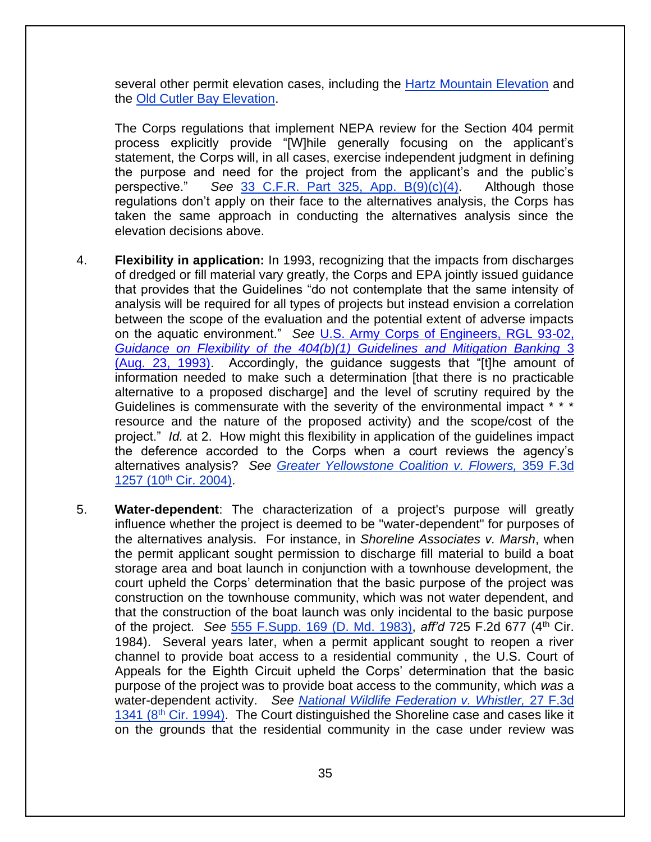several other permit elevation cases, including the [Hartz Mountain Elevation](https://web.archive.org/web/20170218013555/http:/www.epa.gov/sites/production/files/2015-05/documents/2006_04_19_wetlands_hartzmountainguidance.pdf) and the [Old Cutler Bay Elevation.](https://web.archive.org/web/20170125084124if_/https:/www.epa.gov/sites/production/files/2015-05/documents/2006_04_19_wetlands_cutlerbayguidance.pdf)

The Corps regulations that implement NEPA review for the Section 404 permit process explicitly provide "[W]hile generally focusing on the applicant's statement, the Corps will, in all cases, exercise independent judgment in defining the purpose and need for the project from the applicant's and the public's perspective." *See* [33 C.F.R. Part 325, App. B\(9\)\(c\)\(4\).](http://www.law.cornell.edu/cfr/text/33/part-325/appendix-B) Although those regulations don't apply on their face to the alternatives analysis, the Corps has taken the same approach in conducting the alternatives analysis since the elevation decisions above.

- 4. **Flexibility in application:** In 1993, recognizing that the impacts from discharges of dredged or fill material vary greatly, the Corps and EPA jointly issued guidance that provides that the Guidelines "do not contemplate that the same intensity of analysis will be required for all types of projects but instead envision a correlation between the scope of the evaluation and the potential extent of adverse impacts on the aquatic environment." *See* [U.S. Army Corps of Engineers, RGL 93-02,](https://usace.contentdm.oclc.org/utils/getfile/collection/p16021coll9/id/1385)  *[Guidance on Flexibility of the 404\(b\)\(1\) Guidelines and Mitigation Banking](https://usace.contentdm.oclc.org/utils/getfile/collection/p16021coll9/id/1385)* 3 [\(Aug. 23, 1993\).](https://usace.contentdm.oclc.org/utils/getfile/collection/p16021coll9/id/1385) Accordingly, the guidance suggests that "[t]he amount of information needed to make such a determination [that there is no practicable alternative to a proposed discharge] and the level of scrutiny required by the Guidelines is commensurate with the severity of the environmental impact \* \* \* resource and the nature of the proposed activity) and the scope/cost of the project." *Id.* at 2. How might this flexibility in application of the guidelines impact the deference accorded to the Corps when a court reviews the agency's alternatives analysis? *See [Greater Yellowstone Coalition v. Flowers,](http://law.justia.com/cases/federal/appellate-courts/F3/359/1257/577592/)* 359 F.3d 1257 (10<sup>th</sup> [Cir. 2004\).](http://law.justia.com/cases/federal/appellate-courts/F3/359/1257/577592/)
- 5. **Water-dependent**: The characterization of a project's purpose will greatly influence whether the project is deemed to be "water-dependent" for purposes of the alternatives analysis. For instance, in *Shoreline Associates v. Marsh*, when the permit applicant sought permission to discharge fill material to build a boat storage area and boat launch in conjunction with a townhouse development, the court upheld the Corps' determination that the basic purpose of the project was construction on the townhouse community, which was not water dependent, and that the construction of the boat launch was only incidental to the basic purpose of the project. *See* [555 F.Supp. 169 \(D. Md. 1983\),](http://scholar.google.com/scholar_case?case=13514821847216536372&hl=en&as_sdt=6&as_vis=1&oi=scholarr) *aff'd* 725 F.2d 677 (4th Cir. 1984). Several years later, when a permit applicant sought to reopen a river channel to provide boat access to a residential community , the U.S. Court of Appeals for the Eighth Circuit upheld the Corps' determination that the basic purpose of the project was to provide boat access to the community, which *was* a water-dependent activity. *See [National Wildlife Federation v. Whistler,](http://openjurist.org/27/f3d/1341/national-wildlife-federation-v-whistler)* 27 F.3d 1341 (8<sup>th</sup> [Cir. 1994\).](http://openjurist.org/27/f3d/1341/national-wildlife-federation-v-whistler) The Court distinguished the Shoreline case and cases like it on the grounds that the residential community in the case under review was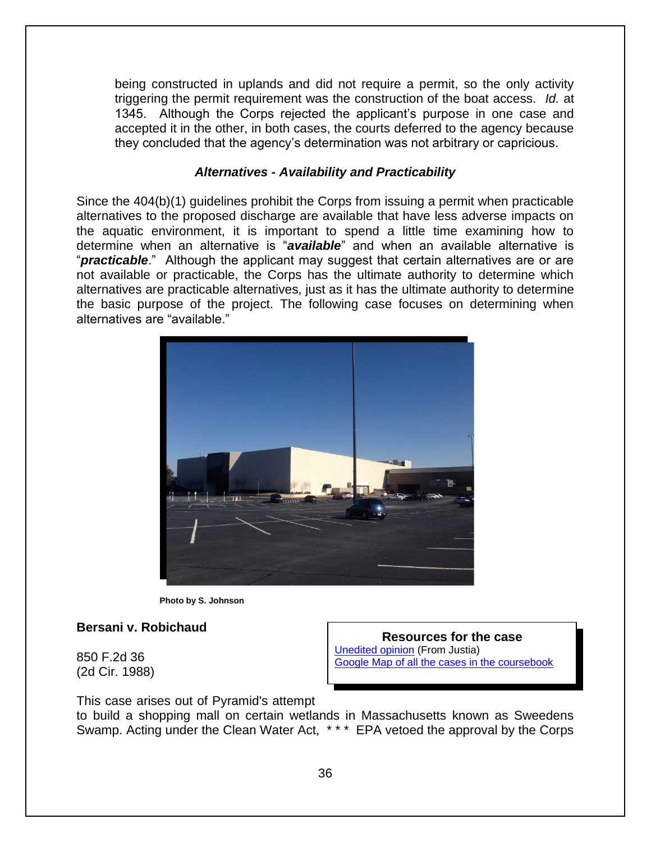being constructed in uplands and did not require a permit, so the only activity triggering the permit requirement was the construction of the boat access. *Id.* at 1345. Although the Corps rejected the applicant's purpose in one case and accepted it in the other, in both cases, the courts deferred to the agency because they concluded that the agency's determination was not arbitrary or capricious.

#### *Alternatives - Availability and Practicability*

Since the 404(b)(1) guidelines prohibit the Corps from issuing a permit when practicable alternatives to the proposed discharge are available that have less adverse impacts on the aquatic environment, it is important to spend a little time examining how to determine when an alternative is "*available*" and when an available alternative is "*practicable*." Although the applicant may suggest that certain alternatives are or are not available or practicable, the Corps has the ultimate authority to determine which alternatives are practicable alternatives, just as it has the ultimate authority to determine the basic purpose of the project. The following case focuses on determining when alternatives are "available."



**Photo by S. Johnson**

#### **Bersani v. Robichaud**

850 F.2d 36 (2d Cir. 1988)

**Resources for the case** [Unedited opinion](http://law.justia.com/cases/federal/appellate-courts/F2/850/36/3499/) (From Justia) [Google Map of all the cases in the coursebook](https://mapsengine.google.com/map/viewer?hl=en&authuser=0&mid=z7VLNS5X2EBs.k2lYjQFqDWiI)

This case arises out of Pyramid's attempt to build a shopping mall on certain wetlands in Massachusetts known as Sweedens Swamp. Acting under the Clean Water Act, \* \* \* EPA vetoed the approval by the Corps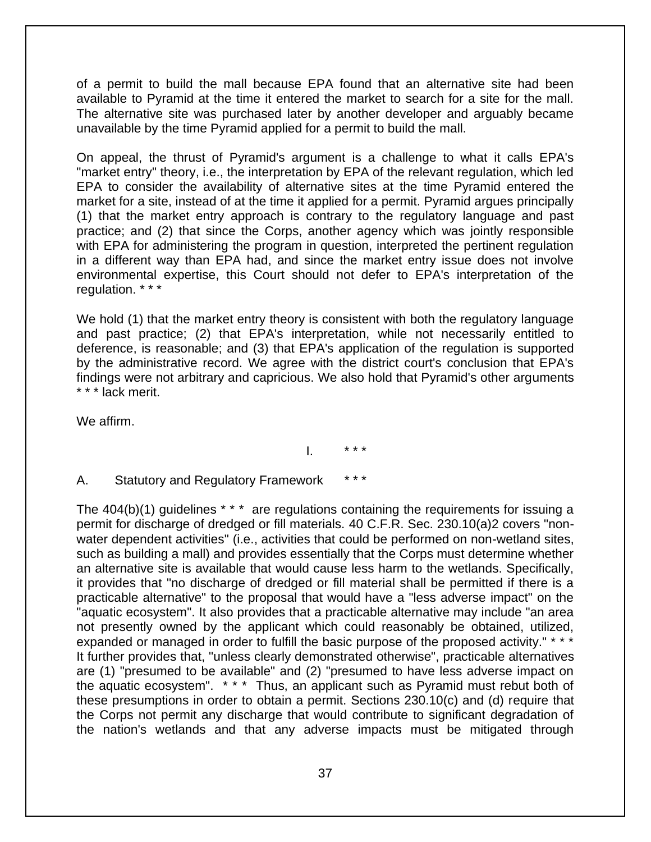of a permit to build the mall because EPA found that an alternative site had been available to Pyramid at the time it entered the market to search for a site for the mall. The alternative site was purchased later by another developer and arguably became unavailable by the time Pyramid applied for a permit to build the mall.

On appeal, the thrust of Pyramid's argument is a challenge to what it calls EPA's "market entry" theory, i.e., the interpretation by EPA of the relevant regulation, which led EPA to consider the availability of alternative sites at the time Pyramid entered the market for a site, instead of at the time it applied for a permit. Pyramid argues principally (1) that the market entry approach is contrary to the regulatory language and past practice; and (2) that since the Corps, another agency which was jointly responsible with EPA for administering the program in question, interpreted the pertinent regulation in a different way than EPA had, and since the market entry issue does not involve environmental expertise, this Court should not defer to EPA's interpretation of the regulation. \* \* \*

We hold (1) that the market entry theory is consistent with both the regulatory language and past practice; (2) that EPA's interpretation, while not necessarily entitled to deference, is reasonable; and (3) that EPA's application of the regulation is supported by the administrative record. We agree with the district court's conclusion that EPA's findings were not arbitrary and capricious. We also hold that Pyramid's other arguments \* \* \* lack merit.

We affirm.

 $\mathsf{I}$ . \*\*\*

#### A. Statutory and Regulatory Framework

The 404(b)(1) guidelines \* \* \* are regulations containing the requirements for issuing a permit for discharge of dredged or fill materials. 40 C.F.R. Sec. 230.10(a)2 covers "nonwater dependent activities" (i.e., activities that could be performed on non-wetland sites, such as building a mall) and provides essentially that the Corps must determine whether an alternative site is available that would cause less harm to the wetlands. Specifically, it provides that "no discharge of dredged or fill material shall be permitted if there is a practicable alternative" to the proposal that would have a "less adverse impact" on the "aquatic ecosystem". It also provides that a practicable alternative may include "an area not presently owned by the applicant which could reasonably be obtained, utilized, expanded or managed in order to fulfill the basic purpose of the proposed activity." \* \* \* It further provides that, "unless clearly demonstrated otherwise", practicable alternatives are (1) "presumed to be available" and (2) "presumed to have less adverse impact on the aquatic ecosystem". \* \* \* Thus, an applicant such as Pyramid must rebut both of these presumptions in order to obtain a permit. Sections 230.10(c) and (d) require that the Corps not permit any discharge that would contribute to significant degradation of the nation's wetlands and that any adverse impacts must be mitigated through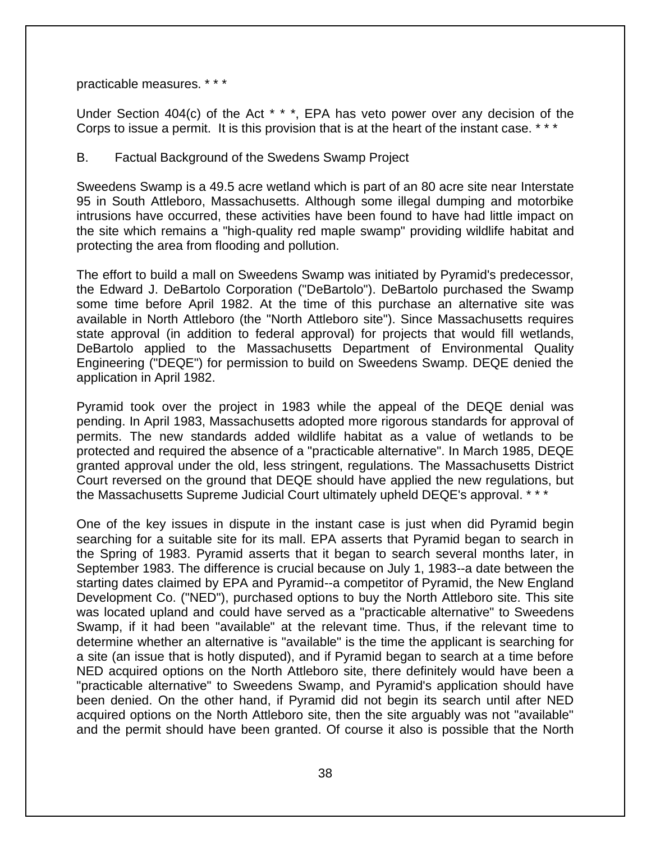practicable measures. \* \* \*

Under Section 404(c) of the Act \* \* \*, EPA has veto power over any decision of the Corps to issue a permit. It is this provision that is at the heart of the instant case. \*\*\*

#### B. Factual Background of the Swedens Swamp Project

Sweedens Swamp is a 49.5 acre wetland which is part of an 80 acre site near Interstate 95 in South Attleboro, Massachusetts. Although some illegal dumping and motorbike intrusions have occurred, these activities have been found to have had little impact on the site which remains a "high-quality red maple swamp" providing wildlife habitat and protecting the area from flooding and pollution.

The effort to build a mall on Sweedens Swamp was initiated by Pyramid's predecessor, the Edward J. DeBartolo Corporation ("DeBartolo"). DeBartolo purchased the Swamp some time before April 1982. At the time of this purchase an alternative site was available in North Attleboro (the "North Attleboro site"). Since Massachusetts requires state approval (in addition to federal approval) for projects that would fill wetlands, DeBartolo applied to the Massachusetts Department of Environmental Quality Engineering ("DEQE") for permission to build on Sweedens Swamp. DEQE denied the application in April 1982.

Pyramid took over the project in 1983 while the appeal of the DEQE denial was pending. In April 1983, Massachusetts adopted more rigorous standards for approval of permits. The new standards added wildlife habitat as a value of wetlands to be protected and required the absence of a "practicable alternative". In March 1985, DEQE granted approval under the old, less stringent, regulations. The Massachusetts District Court reversed on the ground that DEQE should have applied the new regulations, but the Massachusetts Supreme Judicial Court ultimately upheld DEQE's approval. \* \* \*

One of the key issues in dispute in the instant case is just when did Pyramid begin searching for a suitable site for its mall. EPA asserts that Pyramid began to search in the Spring of 1983. Pyramid asserts that it began to search several months later, in September 1983. The difference is crucial because on July 1, 1983--a date between the starting dates claimed by EPA and Pyramid--a competitor of Pyramid, the New England Development Co. ("NED"), purchased options to buy the North Attleboro site. This site was located upland and could have served as a "practicable alternative" to Sweedens Swamp, if it had been "available" at the relevant time. Thus, if the relevant time to determine whether an alternative is "available" is the time the applicant is searching for a site (an issue that is hotly disputed), and if Pyramid began to search at a time before NED acquired options on the North Attleboro site, there definitely would have been a "practicable alternative" to Sweedens Swamp, and Pyramid's application should have been denied. On the other hand, if Pyramid did not begin its search until after NED acquired options on the North Attleboro site, then the site arguably was not "available" and the permit should have been granted. Of course it also is possible that the North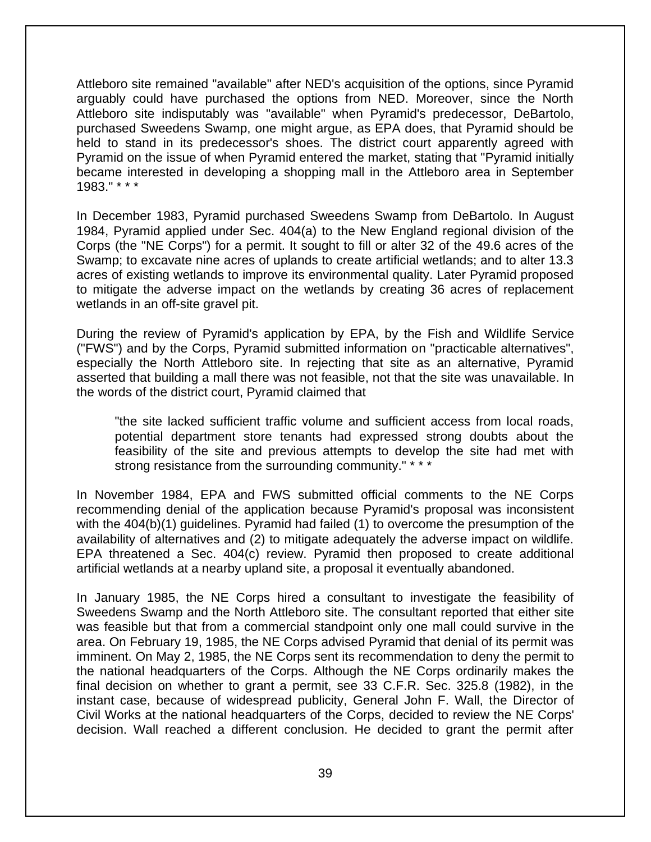Attleboro site remained "available" after NED's acquisition of the options, since Pyramid arguably could have purchased the options from NED. Moreover, since the North Attleboro site indisputably was "available" when Pyramid's predecessor, DeBartolo, purchased Sweedens Swamp, one might argue, as EPA does, that Pyramid should be held to stand in its predecessor's shoes. The district court apparently agreed with Pyramid on the issue of when Pyramid entered the market, stating that "Pyramid initially became interested in developing a shopping mall in the Attleboro area in September 1983." \* \* \*

In December 1983, Pyramid purchased Sweedens Swamp from DeBartolo. In August 1984, Pyramid applied under Sec. 404(a) to the New England regional division of the Corps (the "NE Corps") for a permit. It sought to fill or alter 32 of the 49.6 acres of the Swamp; to excavate nine acres of uplands to create artificial wetlands; and to alter 13.3 acres of existing wetlands to improve its environmental quality. Later Pyramid proposed to mitigate the adverse impact on the wetlands by creating 36 acres of replacement wetlands in an off-site gravel pit.

During the review of Pyramid's application by EPA, by the Fish and Wildlife Service ("FWS") and by the Corps, Pyramid submitted information on "practicable alternatives", especially the North Attleboro site. In rejecting that site as an alternative, Pyramid asserted that building a mall there was not feasible, not that the site was unavailable. In the words of the district court, Pyramid claimed that

"the site lacked sufficient traffic volume and sufficient access from local roads, potential department store tenants had expressed strong doubts about the feasibility of the site and previous attempts to develop the site had met with strong resistance from the surrounding community." \* \* \*

In November 1984, EPA and FWS submitted official comments to the NE Corps recommending denial of the application because Pyramid's proposal was inconsistent with the 404(b)(1) guidelines. Pyramid had failed (1) to overcome the presumption of the availability of alternatives and (2) to mitigate adequately the adverse impact on wildlife. EPA threatened a Sec. 404(c) review. Pyramid then proposed to create additional artificial wetlands at a nearby upland site, a proposal it eventually abandoned.

In January 1985, the NE Corps hired a consultant to investigate the feasibility of Sweedens Swamp and the North Attleboro site. The consultant reported that either site was feasible but that from a commercial standpoint only one mall could survive in the area. On February 19, 1985, the NE Corps advised Pyramid that denial of its permit was imminent. On May 2, 1985, the NE Corps sent its recommendation to deny the permit to the national headquarters of the Corps. Although the NE Corps ordinarily makes the final decision on whether to grant a permit, see 33 C.F.R. Sec. 325.8 (1982), in the instant case, because of widespread publicity, General John F. Wall, the Director of Civil Works at the national headquarters of the Corps, decided to review the NE Corps' decision. Wall reached a different conclusion. He decided to grant the permit after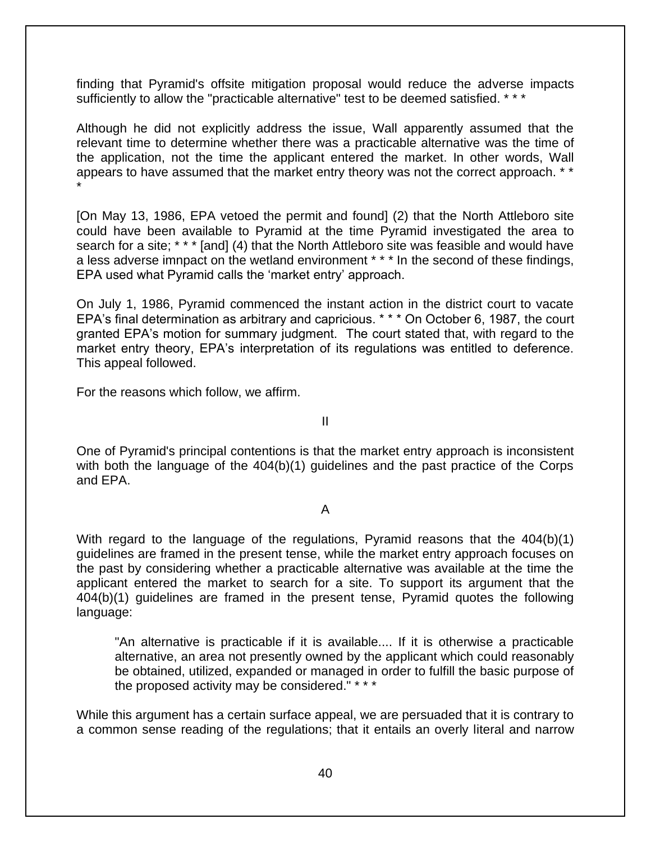finding that Pyramid's offsite mitigation proposal would reduce the adverse impacts sufficiently to allow the "practicable alternative" test to be deemed satisfied. \* \* \*

Although he did not explicitly address the issue, Wall apparently assumed that the relevant time to determine whether there was a practicable alternative was the time of the application, not the time the applicant entered the market. In other words, Wall appears to have assumed that the market entry theory was not the correct approach. \*\* \*

[On May 13, 1986, EPA vetoed the permit and found] (2) that the North Attleboro site could have been available to Pyramid at the time Pyramid investigated the area to search for a site; \* \* \* [and] (4) that the North Attleboro site was feasible and would have a less adverse imnpact on the wetland environment \* \* \* In the second of these findings, EPA used what Pyramid calls the 'market entry' approach.

On July 1, 1986, Pyramid commenced the instant action in the district court to vacate EPA's final determination as arbitrary and capricious. \* \* \* On October 6, 1987, the court granted EPA's motion for summary judgment. The court stated that, with regard to the market entry theory, EPA's interpretation of its regulations was entitled to deference. This appeal followed.

For the reasons which follow, we affirm.

II

One of Pyramid's principal contentions is that the market entry approach is inconsistent with both the language of the 404(b)(1) guidelines and the past practice of the Corps and EPA.

#### A

With regard to the language of the regulations, Pyramid reasons that the 404(b)(1) guidelines are framed in the present tense, while the market entry approach focuses on the past by considering whether a practicable alternative was available at the time the applicant entered the market to search for a site. To support its argument that the 404(b)(1) guidelines are framed in the present tense, Pyramid quotes the following language:

"An alternative is practicable if it is available.... If it is otherwise a practicable alternative, an area not presently owned by the applicant which could reasonably be obtained, utilized, expanded or managed in order to fulfill the basic purpose of the proposed activity may be considered." \* \* \*

While this argument has a certain surface appeal, we are persuaded that it is contrary to a common sense reading of the regulations; that it entails an overly literal and narrow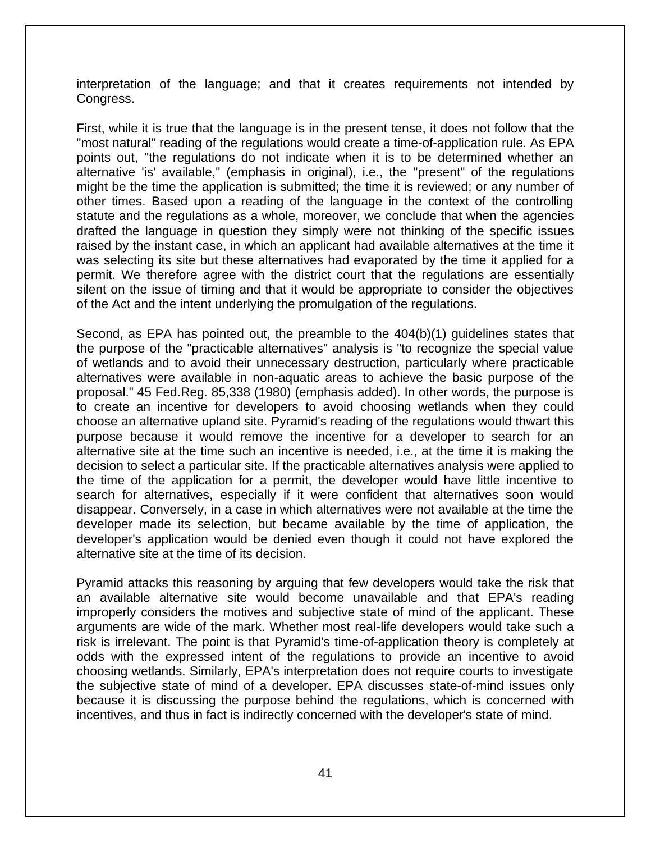interpretation of the language; and that it creates requirements not intended by Congress.

First, while it is true that the language is in the present tense, it does not follow that the "most natural" reading of the regulations would create a time-of-application rule. As EPA points out, "the regulations do not indicate when it is to be determined whether an alternative 'is' available," (emphasis in original), i.e., the "present" of the regulations might be the time the application is submitted; the time it is reviewed; or any number of other times. Based upon a reading of the language in the context of the controlling statute and the regulations as a whole, moreover, we conclude that when the agencies drafted the language in question they simply were not thinking of the specific issues raised by the instant case, in which an applicant had available alternatives at the time it was selecting its site but these alternatives had evaporated by the time it applied for a permit. We therefore agree with the district court that the regulations are essentially silent on the issue of timing and that it would be appropriate to consider the objectives of the Act and the intent underlying the promulgation of the regulations.

Second, as EPA has pointed out, the preamble to the 404(b)(1) guidelines states that the purpose of the "practicable alternatives" analysis is "to recognize the special value of wetlands and to avoid their unnecessary destruction, particularly where practicable alternatives were available in non-aquatic areas to achieve the basic purpose of the proposal." 45 Fed.Reg. 85,338 (1980) (emphasis added). In other words, the purpose is to create an incentive for developers to avoid choosing wetlands when they could choose an alternative upland site. Pyramid's reading of the regulations would thwart this purpose because it would remove the incentive for a developer to search for an alternative site at the time such an incentive is needed, i.e., at the time it is making the decision to select a particular site. If the practicable alternatives analysis were applied to the time of the application for a permit, the developer would have little incentive to search for alternatives, especially if it were confident that alternatives soon would disappear. Conversely, in a case in which alternatives were not available at the time the developer made its selection, but became available by the time of application, the developer's application would be denied even though it could not have explored the alternative site at the time of its decision.

Pyramid attacks this reasoning by arguing that few developers would take the risk that an available alternative site would become unavailable and that EPA's reading improperly considers the motives and subjective state of mind of the applicant. These arguments are wide of the mark. Whether most real-life developers would take such a risk is irrelevant. The point is that Pyramid's time-of-application theory is completely at odds with the expressed intent of the regulations to provide an incentive to avoid choosing wetlands. Similarly, EPA's interpretation does not require courts to investigate the subjective state of mind of a developer. EPA discusses state-of-mind issues only because it is discussing the purpose behind the regulations, which is concerned with incentives, and thus in fact is indirectly concerned with the developer's state of mind.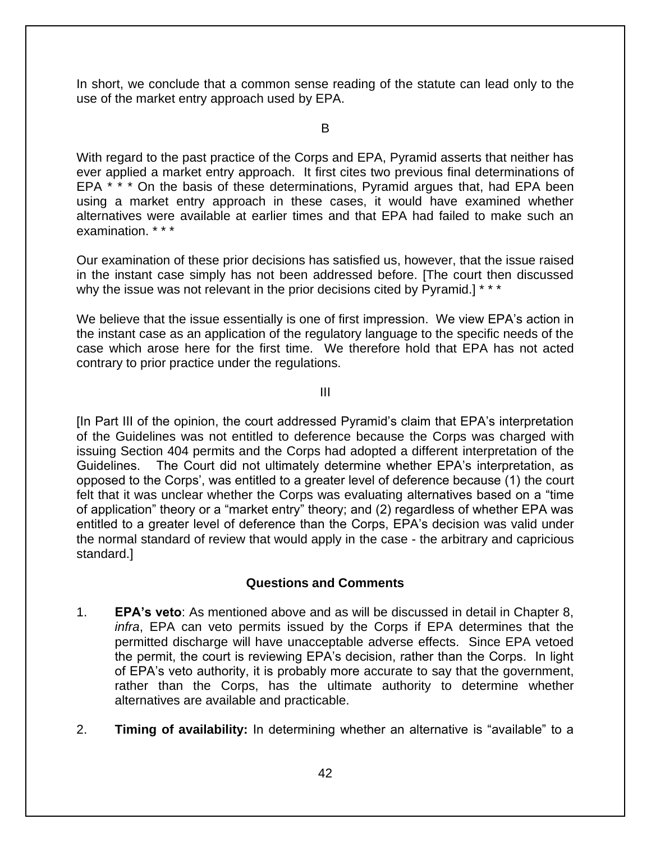In short, we conclude that a common sense reading of the statute can lead only to the use of the market entry approach used by EPA.

B

With regard to the past practice of the Corps and EPA, Pyramid asserts that neither has ever applied a market entry approach. It first cites two previous final determinations of EPA \* \* \* On the basis of these determinations, Pyramid argues that, had EPA been using a market entry approach in these cases, it would have examined whether alternatives were available at earlier times and that EPA had failed to make such an examination \* \* \*

Our examination of these prior decisions has satisfied us, however, that the issue raised in the instant case simply has not been addressed before. [The court then discussed why the issue was not relevant in the prior decisions cited by Pyramid.] \* \* \*

We believe that the issue essentially is one of first impression. We view EPA's action in the instant case as an application of the regulatory language to the specific needs of the case which arose here for the first time. We therefore hold that EPA has not acted contrary to prior practice under the regulations.

III

[In Part III of the opinion, the court addressed Pyramid's claim that EPA's interpretation of the Guidelines was not entitled to deference because the Corps was charged with issuing Section 404 permits and the Corps had adopted a different interpretation of the Guidelines. The Court did not ultimately determine whether EPA's interpretation, as opposed to the Corps', was entitled to a greater level of deference because (1) the court felt that it was unclear whether the Corps was evaluating alternatives based on a "time of application" theory or a "market entry" theory; and (2) regardless of whether EPA was entitled to a greater level of deference than the Corps, EPA's decision was valid under the normal standard of review that would apply in the case - the arbitrary and capricious standard.]

#### **Questions and Comments**

- 1. **EPA's veto**: As mentioned above and as will be discussed in detail in Chapter 8, *infra*, EPA can veto permits issued by the Corps if EPA determines that the permitted discharge will have unacceptable adverse effects. Since EPA vetoed the permit, the court is reviewing EPA's decision, rather than the Corps. In light of EPA's veto authority, it is probably more accurate to say that the government, rather than the Corps, has the ultimate authority to determine whether alternatives are available and practicable.
- 2. **Timing of availability:** In determining whether an alternative is "available" to a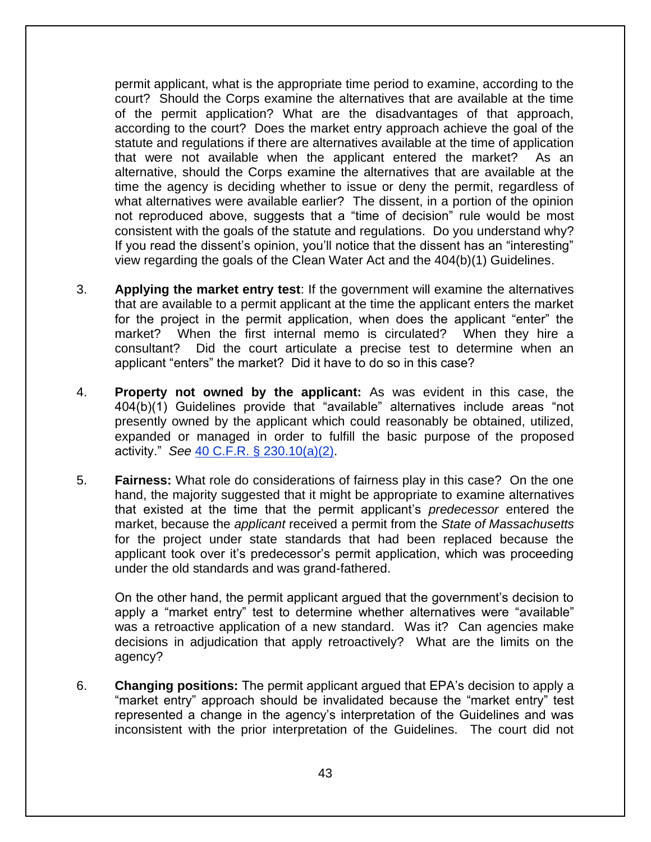permit applicant, what is the appropriate time period to examine, according to the court? Should the Corps examine the alternatives that are available at the time of the permit application? What are the disadvantages of that approach, according to the court? Does the market entry approach achieve the goal of the statute and regulations if there are alternatives available at the time of application that were not available when the applicant entered the market? As an alternative, should the Corps examine the alternatives that are available at the time the agency is deciding whether to issue or deny the permit, regardless of what alternatives were available earlier? The dissent, in a portion of the opinion not reproduced above, suggests that a "time of decision" rule would be most consistent with the goals of the statute and regulations. Do you understand why? If you read the dissent's opinion, you'll notice that the dissent has an "interesting" view regarding the goals of the Clean Water Act and the 404(b)(1) Guidelines.

- 3. **Applying the market entry test**: If the government will examine the alternatives that are available to a permit applicant at the time the applicant enters the market for the project in the permit application, when does the applicant "enter" the market? When the first internal memo is circulated? When they hire a consultant? Did the court articulate a precise test to determine when an applicant "enters" the market? Did it have to do so in this case?
- 4. **Property not owned by the applicant:** As was evident in this case, the 404(b)(1) Guidelines provide that "available" alternatives include areas "not presently owned by the applicant which could reasonably be obtained, utilized, expanded or managed in order to fulfill the basic purpose of the proposed activity." *See* [40 C.F.R. § 230.10\(a\)\(2\).](http://www.law.cornell.edu/cfr/text/40/230.10)
- 5. **Fairness:** What role do considerations of fairness play in this case? On the one hand, the majority suggested that it might be appropriate to examine alternatives that existed at the time that the permit applicant's *predecessor* entered the market, because the *applicant* received a permit from the *State of Massachusetts* for the project under state standards that had been replaced because the applicant took over it's predecessor's permit application, which was proceeding under the old standards and was grand-fathered.

On the other hand, the permit applicant argued that the government's decision to apply a "market entry" test to determine whether alternatives were "available" was a retroactive application of a new standard. Was it? Can agencies make decisions in adjudication that apply retroactively? What are the limits on the agency?

6. **Changing positions:** The permit applicant argued that EPA's decision to apply a "market entry" approach should be invalidated because the "market entry" test represented a change in the agency's interpretation of the Guidelines and was inconsistent with the prior interpretation of the Guidelines. The court did not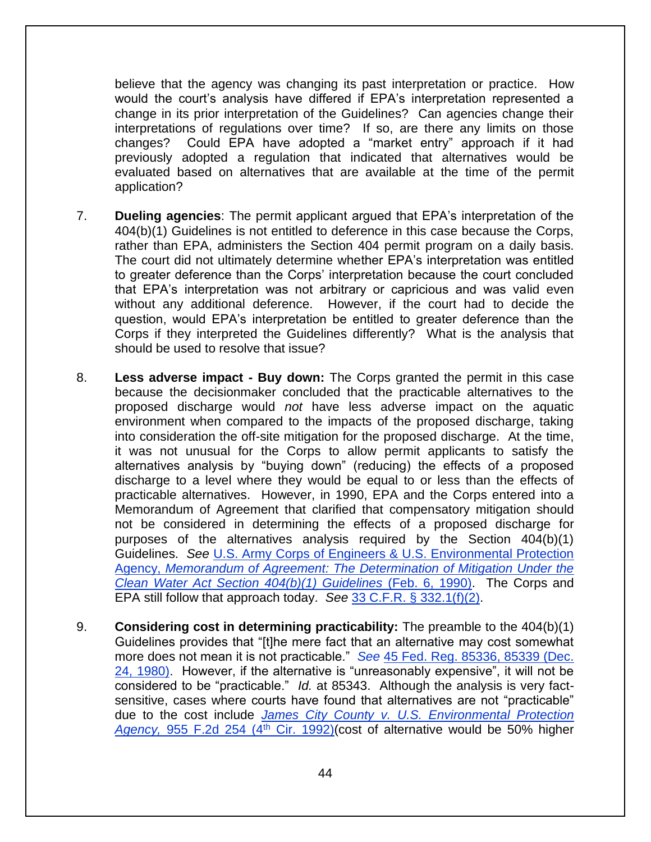believe that the agency was changing its past interpretation or practice. How would the court's analysis have differed if EPA's interpretation represented a change in its prior interpretation of the Guidelines? Can agencies change their interpretations of regulations over time? If so, are there any limits on those changes? Could EPA have adopted a "market entry" approach if it had previously adopted a regulation that indicated that alternatives would be evaluated based on alternatives that are available at the time of the permit application?

- 7. **Dueling agencies**: The permit applicant argued that EPA's interpretation of the 404(b)(1) Guidelines is not entitled to deference in this case because the Corps, rather than EPA, administers the Section 404 permit program on a daily basis. The court did not ultimately determine whether EPA's interpretation was entitled to greater deference than the Corps' interpretation because the court concluded that EPA's interpretation was not arbitrary or capricious and was valid even without any additional deference. However, if the court had to decide the question, would EPA's interpretation be entitled to greater deference than the Corps if they interpreted the Guidelines differently? What is the analysis that should be used to resolve that issue?
- 8. **Less adverse impact - Buy down:** The Corps granted the permit in this case because the decisionmaker concluded that the practicable alternatives to the proposed discharge would *not* have less adverse impact on the aquatic environment when compared to the impacts of the proposed discharge, taking into consideration the off-site mitigation for the proposed discharge. At the time, it was not unusual for the Corps to allow permit applicants to satisfy the alternatives analysis by "buying down" (reducing) the effects of a proposed discharge to a level where they would be equal to or less than the effects of practicable alternatives. However, in 1990, EPA and the Corps entered into a Memorandum of Agreement that clarified that compensatory mitigation should not be considered in determining the effects of a proposed discharge for purposes of the alternatives analysis required by the Section 404(b)(1) Guidelines. *See* [U.S. Army Corps of Engineers & U.S. Environmental Protection](https://www.epa.gov/cwa-404/memorandum-agreemement-regarding-mitigation-under-cwa-section-404b1-guidelines-text)  Agency, *[Memorandum of Agreement: The Determination of Mitigation Under the](https://www.epa.gov/cwa-404/memorandum-agreemement-regarding-mitigation-under-cwa-section-404b1-guidelines-text)  [Clean Water Act Section 404\(b\)\(1\) Guidelines](https://www.epa.gov/cwa-404/memorandum-agreemement-regarding-mitigation-under-cwa-section-404b1-guidelines-text)* (Feb. 6, 1990). The Corps and EPA still follow that approach today. *See* [33 C.F.R. § 332.1\(f\)\(2\).](http://www.law.cornell.edu/cfr/text/33/332.1)
- 9. **Considering cost in determining practicability:** The preamble to the 404(b)(1) Guidelines provides that "[t]he mere fact that an alternative may cost somewhat more does not mean it is not practicable." *See* [45 Fed. Reg. 85336, 85339 \(Dec.](http://www.envirolawteachers.com/45-fed-reg-85336.html)  [24, 1980\).](http://www.envirolawteachers.com/45-fed-reg-85336.html) However, if the alternative is "unreasonably expensive", it will not be considered to be "practicable." *Id.* at 85343. Although the analysis is very factsensitive, cases where courts have found that alternatives are not "practicable" due to the cost include *James City County [v. U.S. Environmental Protection](http://law.justia.com/cases/federal/appellate-courts/F2/955/254/448335/)*  Agency, [955 F.2d 254 \(4](http://law.justia.com/cases/federal/appellate-courts/F2/955/254/448335/)<sup>th</sup> Cir. 1992)(cost of alternative would be 50% higher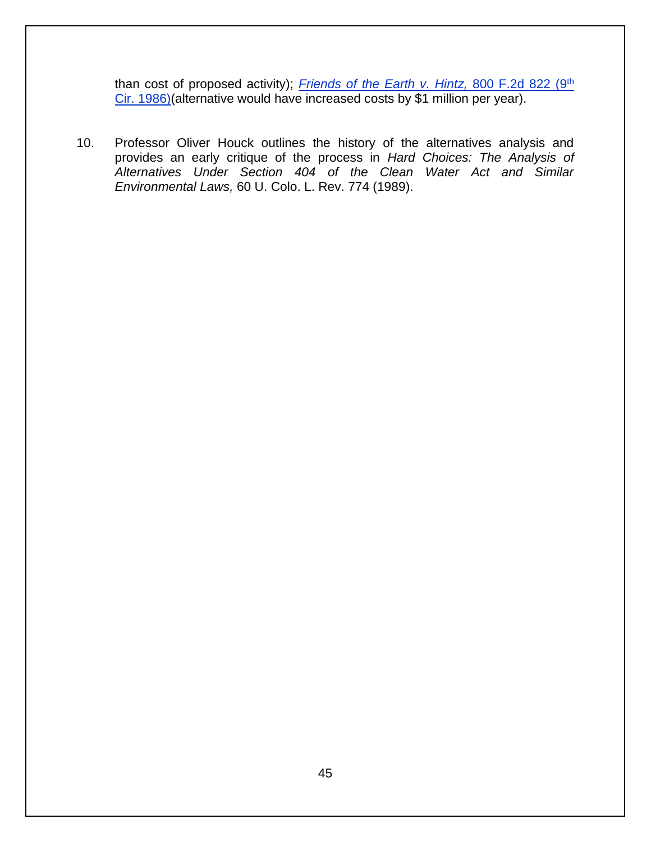than cost of proposed activity); *Friends of the Earth v. Hintz*, 800 F.2d 822 (9<sup>th</sup> [Cir. 1986\)\(](http://law.justia.com/cases/federal/appellate-courts/F2/800/822/271170/)alternative would have increased costs by \$1 million per year).

10. Professor Oliver Houck outlines the history of the alternatives analysis and provides an early critique of the process in *Hard Choices: The Analysis of Alternatives Under Section 404 of the Clean Water Act and Similar Environmental Laws,* 60 U. Colo. L. Rev. 774 (1989).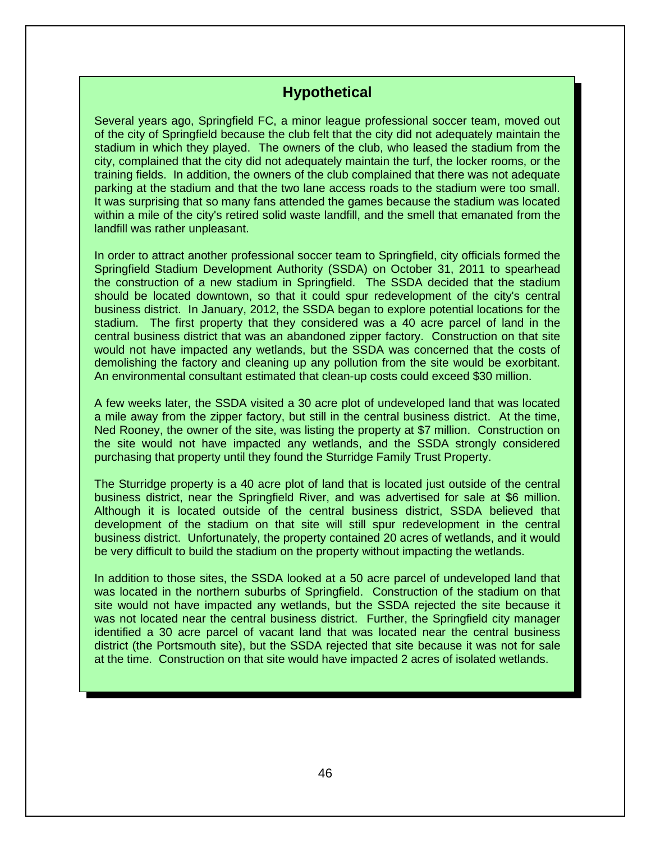# **Hypothetical**

Several years ago, Springfield FC, a minor league professional soccer team, moved out of the city of Springfield because the club felt that the city did not adequately maintain the stadium in which they played. The owners of the club, who leased the stadium from the city, complained that the city did not adequately maintain the turf, the locker rooms, or the training fields. In addition, the owners of the club complained that there was not adequate parking at the stadium and that the two lane access roads to the stadium were too small. It was surprising that so many fans attended the games because the stadium was located within a mile of the city's retired solid waste landfill, and the smell that emanated from the landfill was rather unpleasant.

In order to attract another professional soccer team to Springfield, city officials formed the Springfield Stadium Development Authority (SSDA) on October 31, 2011 to spearhead the construction of a new stadium in Springfield. The SSDA decided that the stadium should be located downtown, so that it could spur redevelopment of the city's central business district. In January, 2012, the SSDA began to explore potential locations for the stadium. The first property that they considered was a 40 acre parcel of land in the central business district that was an abandoned zipper factory. Construction on that site would not have impacted any wetlands, but the SSDA was concerned that the costs of demolishing the factory and cleaning up any pollution from the site would be exorbitant. An environmental consultant estimated that clean-up costs could exceed \$30 million.

A few weeks later, the SSDA visited a 30 acre plot of undeveloped land that was located a mile away from the zipper factory, but still in the central business district. At the time, Ned Rooney, the owner of the site, was listing the property at \$7 million. Construction on the site would not have impacted any wetlands, and the SSDA strongly considered purchasing that property until they found the Sturridge Family Trust Property.

The Sturridge property is a 40 acre plot of land that is located just outside of the central business district, near the Springfield River, and was advertised for sale at \$6 million. Although it is located outside of the central business district, SSDA believed that development of the stadium on that site will still spur redevelopment in the central business district. Unfortunately, the property contained 20 acres of wetlands, and it would be very difficult to build the stadium on the property without impacting the wetlands.

In addition to those sites, the SSDA looked at a 50 acre parcel of undeveloped land that was located in the northern suburbs of Springfield. Construction of the stadium on that site would not have impacted any wetlands, but the SSDA rejected the site because it was not located near the central business district. Further, the Springfield city manager identified a 30 acre parcel of vacant land that was located near the central business district (the Portsmouth site), but the SSDA rejected that site because it was not for sale at the time. Construction on that site would have impacted 2 acres of isolated wetlands.